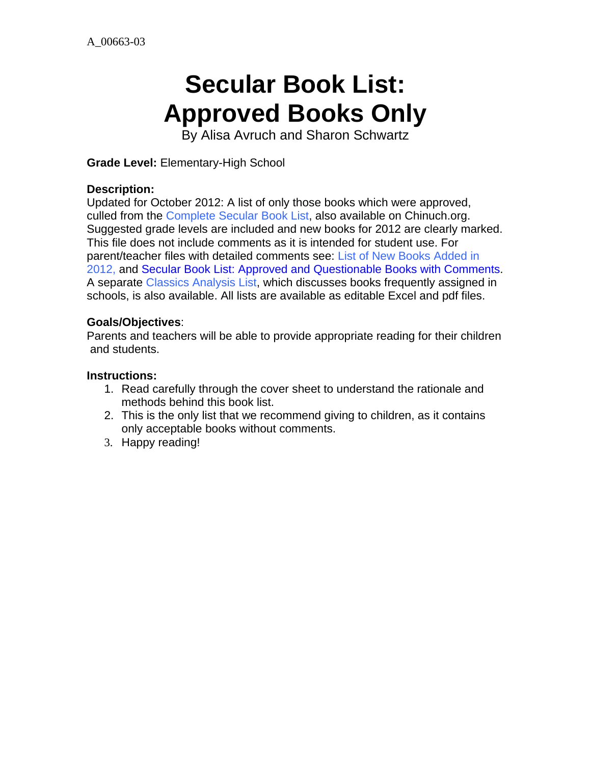# **Secular Book List: Approved Books Only**

By Alisa Avruch and Sharon Schwartz

**Grade Level:** Elementary-High School

#### **Description:**

Updated for October 2012: A list of only those books which were approved, culled from the Complete Secular Book List, also available on Chinuch.org. Suggested grade levels are included and new books for 2012 are clearly marked. This file does not include comments as it is intended for student use. For parent/teacher files with detailed comments see: List of New Books Added in 2012, and Secular Book List: Approved and Questionable Books with Comments. A separate Classics Analysis List, which discusses books frequently assigned in schools, is also available. All lists are available as editable Excel and pdf files.

#### **Goals/Objectives**:

Parents and teachers will be able to provide appropriate reading for their children and students.

#### **Instructions:**

- 1. Read carefully through the cover sheet to understand the rationale and methods behind this book list.
- 2. This is the only list that we recommend giving to children, as it contains only acceptable books without comments.
- 3. Happy reading!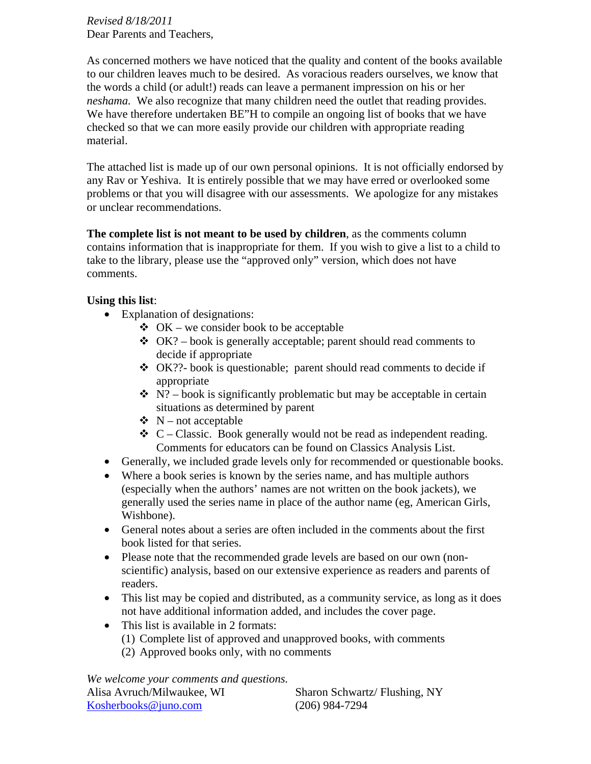*Revised 8/18/2011*  Dear Parents and Teachers,

As concerned mothers we have noticed that the quality and content of the books available to our children leaves much to be desired. As voracious readers ourselves, we know that the words a child (or adult!) reads can leave a permanent impression on his or her *neshama.* We also recognize that many children need the outlet that reading provides. We have therefore undertaken BE"H to compile an ongoing list of books that we have checked so that we can more easily provide our children with appropriate reading material.

The attached list is made up of our own personal opinions. It is not officially endorsed by any Rav or Yeshiva. It is entirely possible that we may have erred or overlooked some problems or that you will disagree with our assessments. We apologize for any mistakes or unclear recommendations.

**The complete list is not meant to be used by children**, as the comments column contains information that is inappropriate for them. If you wish to give a list to a child to take to the library, please use the "approved only" version, which does not have comments.

#### **Using this list**:

- Explanation of designations:
	- $\triangleleft$  OK we consider book to be acceptable
	- $\triangleleft$  OK? book is generally acceptable; parent should read comments to decide if appropriate
	- $\triangleleft$  OK??- book is questionable; parent should read comments to decide if appropriate
	- $\mathbf{\hat{P}}$  N? book is significantly problematic but may be acceptable in certain situations as determined by parent
	- $\mathbf{\hat{v}}$  N not acceptable
	- $\bullet$  C Classic. Book generally would not be read as independent reading. Comments for educators can be found on Classics Analysis List.
- Generally, we included grade levels only for recommended or questionable books.
- Where a book series is known by the series name, and has multiple authors (especially when the authors' names are not written on the book jackets), we generally used the series name in place of the author name (eg, American Girls, Wishbone).
- General notes about a series are often included in the comments about the first book listed for that series.
- Please note that the recommended grade levels are based on our own (nonscientific) analysis, based on our extensive experience as readers and parents of readers.
- This list may be copied and distributed, as a community service, as long as it does not have additional information added, and includes the cover page.
- This list is available in 2 formats:
	- (1) Complete list of approved and unapproved books, with comments
	- (2) Approved books only, with no comments

*We welcome your comments and questions.* 

| Alisa Avruch/Milwaukee, WI | Sharon Schwartz/Flushing, NY |
|----------------------------|------------------------------|
| Kosherbooks@juno.com       | $(206)$ 984-7294             |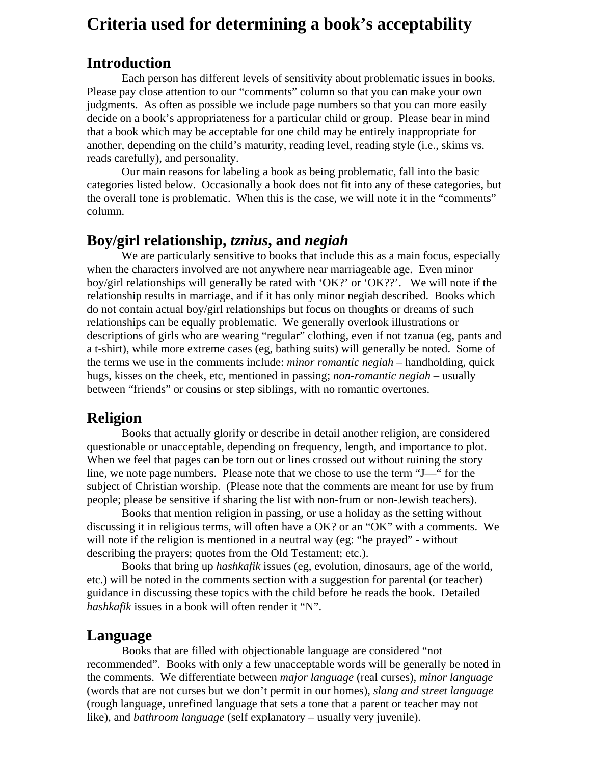# **Criteria used for determining a book's acceptability**

# **Introduction**

Each person has different levels of sensitivity about problematic issues in books. Please pay close attention to our "comments" column so that you can make your own judgments. As often as possible we include page numbers so that you can more easily decide on a book's appropriateness for a particular child or group. Please bear in mind that a book which may be acceptable for one child may be entirely inappropriate for another, depending on the child's maturity, reading level, reading style (i.e., skims vs. reads carefully), and personality.

Our main reasons for labeling a book as being problematic, fall into the basic categories listed below. Occasionally a book does not fit into any of these categories, but the overall tone is problematic. When this is the case, we will note it in the "comments" column.

# **Boy/girl relationship,** *tznius***, and** *negiah*

We are particularly sensitive to books that include this as a main focus, especially when the characters involved are not anywhere near marriageable age. Even minor boy/girl relationships will generally be rated with 'OK?' or 'OK??'. We will note if the relationship results in marriage, and if it has only minor negiah described. Books which do not contain actual boy/girl relationships but focus on thoughts or dreams of such relationships can be equally problematic. We generally overlook illustrations or descriptions of girls who are wearing "regular" clothing, even if not tzanua (eg, pants and a t-shirt), while more extreme cases (eg, bathing suits) will generally be noted. Some of the terms we use in the comments include: *minor romantic negiah* – handholding, quick hugs, kisses on the cheek, etc, mentioned in passing; *non-romantic negiah* – usually between "friends" or cousins or step siblings, with no romantic overtones.

# **Religion**

 Books that actually glorify or describe in detail another religion, are considered questionable or unacceptable, depending on frequency, length, and importance to plot. When we feel that pages can be torn out or lines crossed out without ruining the story line, we note page numbers. Please note that we chose to use the term "J—" for the subject of Christian worship. (Please note that the comments are meant for use by frum people; please be sensitive if sharing the list with non-frum or non-Jewish teachers).

 Books that mention religion in passing, or use a holiday as the setting without discussing it in religious terms, will often have a OK? or an "OK" with a comments. We will note if the religion is mentioned in a neutral way (eg: "he prayed" - without describing the prayers; quotes from the Old Testament; etc.).

 Books that bring up *hashkafik* issues (eg, evolution, dinosaurs, age of the world, etc.) will be noted in the comments section with a suggestion for parental (or teacher) guidance in discussing these topics with the child before he reads the book. Detailed *hashkafik* issues in a book will often render it "N".

# **Language**

 Books that are filled with objectionable language are considered "not recommended". Books with only a few unacceptable words will be generally be noted in the comments. We differentiate between *major language* (real curses), *minor language* (words that are not curses but we don't permit in our homes), *slang and street language* (rough language, unrefined language that sets a tone that a parent or teacher may not like), and *bathroom language* (self explanatory – usually very juvenile).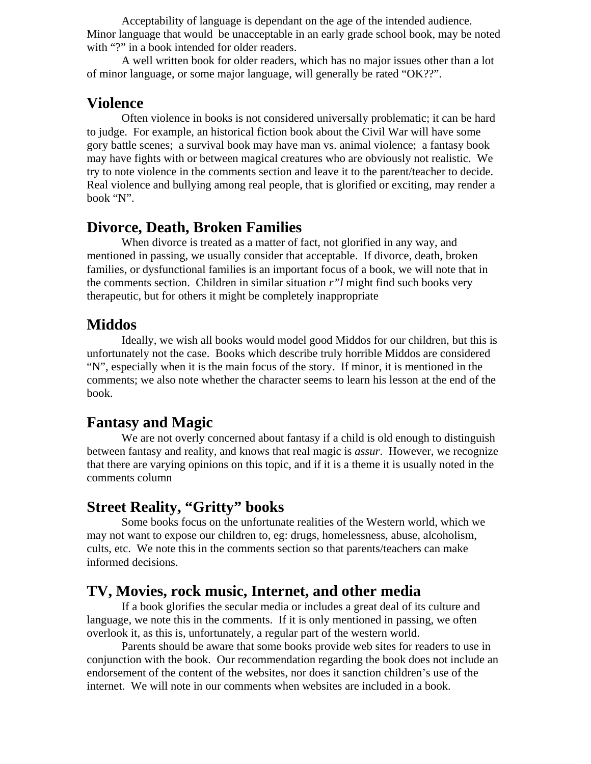Acceptability of language is dependant on the age of the intended audience. Minor language that would be unacceptable in an early grade school book, may be noted with "?" in a book intended for older readers.

 A well written book for older readers, which has no major issues other than a lot of minor language, or some major language, will generally be rated "OK??".

#### **Violence**

 Often violence in books is not considered universally problematic; it can be hard to judge. For example, an historical fiction book about the Civil War will have some gory battle scenes; a survival book may have man vs. animal violence; a fantasy book may have fights with or between magical creatures who are obviously not realistic. We try to note violence in the comments section and leave it to the parent/teacher to decide. Real violence and bullying among real people, that is glorified or exciting, may render a book "N".

# **Divorce, Death, Broken Families**

 When divorce is treated as a matter of fact, not glorified in any way, and mentioned in passing, we usually consider that acceptable. If divorce, death, broken families, or dysfunctional families is an important focus of a book, we will note that in the comments section. Children in similar situation *r"l* might find such books very therapeutic, but for others it might be completely inappropriate

# **Middos**

 Ideally, we wish all books would model good Middos for our children, but this is unfortunately not the case. Books which describe truly horrible Middos are considered "N", especially when it is the main focus of the story. If minor, it is mentioned in the comments; we also note whether the character seems to learn his lesson at the end of the book.

# **Fantasy and Magic**

We are not overly concerned about fantasy if a child is old enough to distinguish between fantasy and reality, and knows that real magic is *assur*. However, we recognize that there are varying opinions on this topic, and if it is a theme it is usually noted in the comments column

# **Street Reality, "Gritty" books**

 Some books focus on the unfortunate realities of the Western world, which we may not want to expose our children to, eg: drugs, homelessness, abuse, alcoholism, cults, etc. We note this in the comments section so that parents/teachers can make informed decisions.

# **TV, Movies, rock music, Internet, and other media**

 If a book glorifies the secular media or includes a great deal of its culture and language, we note this in the comments. If it is only mentioned in passing, we often overlook it, as this is, unfortunately, a regular part of the western world.

 Parents should be aware that some books provide web sites for readers to use in conjunction with the book. Our recommendation regarding the book does not include an endorsement of the content of the websites, nor does it sanction children's use of the internet. We will note in our comments when websites are included in a book.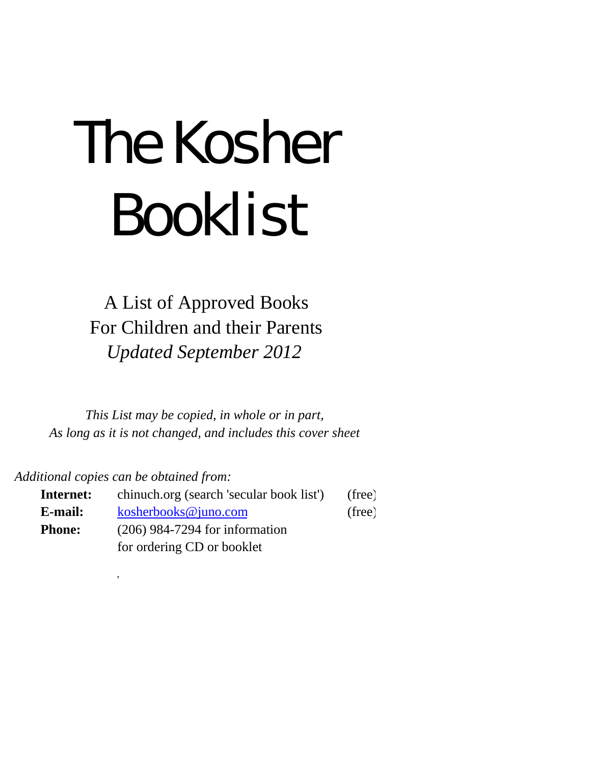# The Kosher Booklist

A List of Approved Books For Children and their Parents *Updated September 2012*

*This List may be copied, in whole or in part, As long as it is not changed, and includes this cover sheet*

*Additional copies can be obtained from:*

,

| Internet:     | chinuch.org (search 'secular book list') | (free) |
|---------------|------------------------------------------|--------|
| E-mail:       | kosherbooks@juno.com                     | (free) |
| <b>Phone:</b> | $(206)$ 984-7294 for information         |        |
|               | for ordering CD or booklet               |        |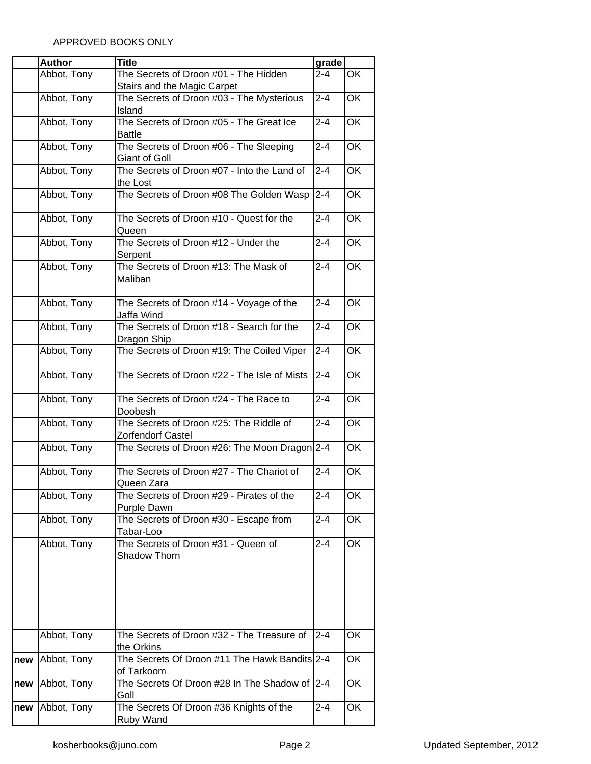|     | <b>Author</b> | <b>Title</b>                                  | grade              |           |
|-----|---------------|-----------------------------------------------|--------------------|-----------|
|     | Abbot, Tony   | The Secrets of Droon #01 - The Hidden         | $2 - 4$            | OK        |
|     |               | Stairs and the Magic Carpet                   |                    |           |
|     | Abbot, Tony   | The Secrets of Droon #03 - The Mysterious     | $2 - 4$            | OK        |
|     |               | Island                                        |                    |           |
|     | Abbot, Tony   | The Secrets of Droon #05 - The Great Ice      | $2 - 4$            | OK        |
|     |               | <b>Battle</b>                                 |                    |           |
|     | Abbot, Tony   | The Secrets of Droon #06 - The Sleeping       | $2 - 4$            | OK        |
|     |               | <b>Giant of Goll</b>                          |                    |           |
|     | Abbot, Tony   | The Secrets of Droon #07 - Into the Land of   | $2 - 4$            | OK        |
|     |               | the Lost                                      |                    |           |
|     | Abbot, Tony   | The Secrets of Droon #08 The Golden Wasp      | $2 - 4$            | <b>OK</b> |
|     |               |                                               |                    |           |
|     | Abbot, Tony   | The Secrets of Droon #10 - Quest for the      | $2 - 4$            | OK        |
|     |               | Queen                                         |                    |           |
|     | Abbot, Tony   | The Secrets of Droon #12 - Under the          | $2 - 4$            | OK        |
|     |               | Serpent                                       |                    |           |
|     | Abbot, Tony   | The Secrets of Droon #13: The Mask of         | $2 - 4$            | <b>OK</b> |
|     |               | Maliban                                       |                    |           |
|     |               |                                               |                    |           |
|     | Abbot, Tony   | The Secrets of Droon #14 - Voyage of the      | $2 - 4$            | OK        |
|     |               | Jaffa Wind                                    |                    |           |
|     | Abbot, Tony   | The Secrets of Droon #18 - Search for the     | $\overline{2} - 4$ | OK        |
|     |               | Dragon Ship                                   |                    |           |
|     | Abbot, Tony   | The Secrets of Droon #19: The Coiled Viper    | $2 - 4$            | OK        |
|     |               |                                               |                    |           |
|     | Abbot, Tony   | The Secrets of Droon #22 - The Isle of Mists  | $2 - 4$            | OK        |
|     |               |                                               |                    |           |
|     | Abbot, Tony   | The Secrets of Droon #24 - The Race to        | $2 - 4$            | OK        |
|     |               | Doobesh                                       |                    |           |
|     | Abbot, Tony   | The Secrets of Droon #25: The Riddle of       | $2 - 4$            | OK        |
|     |               | Zorfendorf Castel                             |                    |           |
|     | Abbot, Tony   | The Secrets of Droon #26: The Moon Dragon 2-4 |                    | OK        |
|     |               |                                               |                    |           |
|     | Abbot, Tony   | The Secrets of Droon #27 - The Chariot of     | $2 - 4$            | OK        |
|     |               | Queen Zara                                    |                    |           |
|     | Abbot, Tony   | The Secrets of Droon #29 - Pirates of the     | $2 - 4$            | ОK        |
|     |               | Purple Dawn                                   |                    |           |
|     | Abbot, Tony   | The Secrets of Droon #30 - Escape from        | $2 - 4$            | OK        |
|     |               | Tabar-Loo                                     |                    |           |
|     | Abbot, Tony   | The Secrets of Droon #31 - Queen of           | $2 - 4$            | OK        |
|     |               | Shadow Thorn                                  |                    |           |
|     |               |                                               |                    |           |
|     |               |                                               |                    |           |
|     |               |                                               |                    |           |
|     |               |                                               |                    |           |
|     |               |                                               |                    |           |
|     | Abbot, Tony   | The Secrets of Droon #32 - The Treasure of    | $2 - 4$            | OK        |
|     |               | the Orkins                                    |                    |           |
| new | Abbot, Tony   | The Secrets Of Droon #11 The Hawk Bandits 2-4 |                    | OK        |
|     |               | of Tarkoom                                    |                    |           |
|     | Abbot, Tony   | The Secrets Of Droon #28 In The Shadow of     | $2 - 4$            | OK        |
| new |               | Goll                                          |                    |           |
| new | Abbot, Tony   | The Secrets Of Droon #36 Knights of the       | $2 - 4$            | OK        |
|     |               | Ruby Wand                                     |                    |           |
|     |               |                                               |                    |           |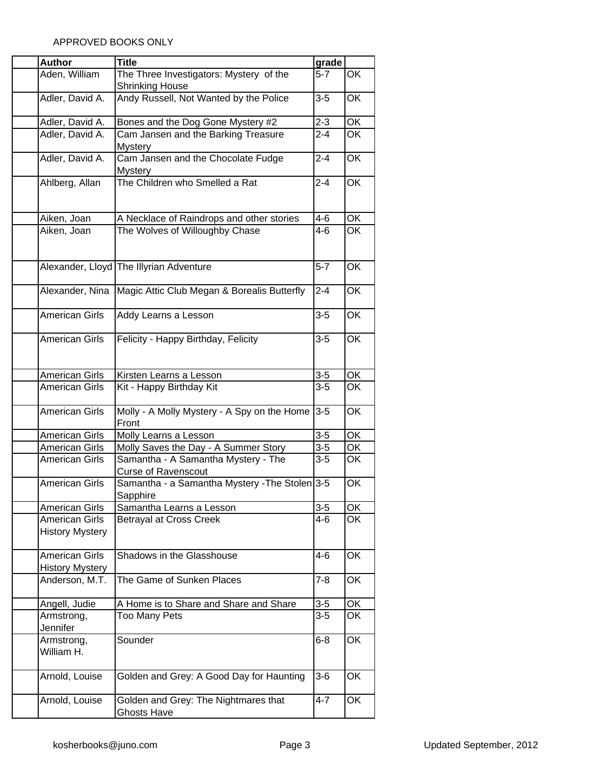| <b>Author</b>                                   | <b>Title</b>                                                      | grade   |                          |
|-------------------------------------------------|-------------------------------------------------------------------|---------|--------------------------|
| Aden, William                                   | The Three Investigators: Mystery of the<br><b>Shrinking House</b> | $5-7$   | OK                       |
| Adler, David A.                                 | Andy Russell, Not Wanted by the Police                            | $3 - 5$ | OK                       |
| Adler, David A.                                 | Bones and the Dog Gone Mystery #2                                 | $2 - 3$ | OK                       |
| Adler, David A.                                 | Cam Jansen and the Barking Treasure<br><b>Mystery</b>             | $2 - 4$ | OK                       |
| Adler, David A.                                 | Cam Jansen and the Chocolate Fudge<br>Mystery                     | $2 - 4$ | OK                       |
| Ahlberg, Allan                                  | The Children who Smelled a Rat                                    | $2 - 4$ | OK                       |
| Aiken, Joan                                     | A Necklace of Raindrops and other stories                         | 4-6     | OK                       |
| Aiken, Joan                                     | The Wolves of Willoughby Chase                                    | $4 - 6$ | <b>OK</b>                |
|                                                 | Alexander, Lloyd The Illyrian Adventure                           | $5 - 7$ | OK                       |
| Alexander, Nina                                 | Magic Attic Club Megan & Borealis Butterfly                       | $2 - 4$ | $\overline{\mathsf{OK}}$ |
| <b>American Girls</b>                           | Addy Learns a Lesson                                              | $3-5$   | OK                       |
| <b>American Girls</b>                           | Felicity - Happy Birthday, Felicity                               | $3-5$   | OK                       |
| <b>American Girls</b>                           | Kirsten Learns a Lesson                                           | $3-5$   | OK                       |
| <b>American Girls</b>                           | Kit - Happy Birthday Kit                                          | $3-5$   | OK                       |
| <b>American Girls</b>                           | Molly - A Molly Mystery - A Spy on the Home<br>Front              | $3-5$   | OK                       |
| <b>American Girls</b>                           | Molly Learns a Lesson                                             | $3-5$   | OK                       |
| <b>American Girls</b>                           | Molly Saves the Day - A Summer Story                              | $3-5$   | OK                       |
| American Girls                                  | Samantha - A Samantha Mystery - The<br><b>Curse of Ravenscout</b> | $3-5$   | OK                       |
| <b>American Girls</b>                           | Samantha - a Samantha Mystery - The Stolen 3-5<br>Sapphire        |         | OK                       |
| American Girls                                  | Samantha Learns a Lesson                                          | $3 - 5$ | OK                       |
| <b>American Girls</b><br><b>History Mystery</b> | <b>Betrayal at Cross Creek</b>                                    | $4 - 6$ | OK                       |
| <b>American Girls</b><br><b>History Mystery</b> | Shadows in the Glasshouse                                         | 4-6     | OK                       |
| Anderson, M.T.                                  | The Game of Sunken Places                                         | 7-8     | OK                       |
| Angell, Judie                                   | A Home is to Share and Share and Share                            | $3-5$   | OK                       |
| Armstrong,<br>Jennifer                          | <b>Too Many Pets</b>                                              | $3-5$   | OK                       |
| Armstrong,<br>William H.                        | Sounder                                                           | $6 - 8$ | OK                       |
| Arnold, Louise                                  | Golden and Grey: A Good Day for Haunting                          | $3-6$   | OK                       |
| Arnold, Louise                                  | Golden and Grey: The Nightmares that<br><b>Ghosts Have</b>        | $4 - 7$ | OK                       |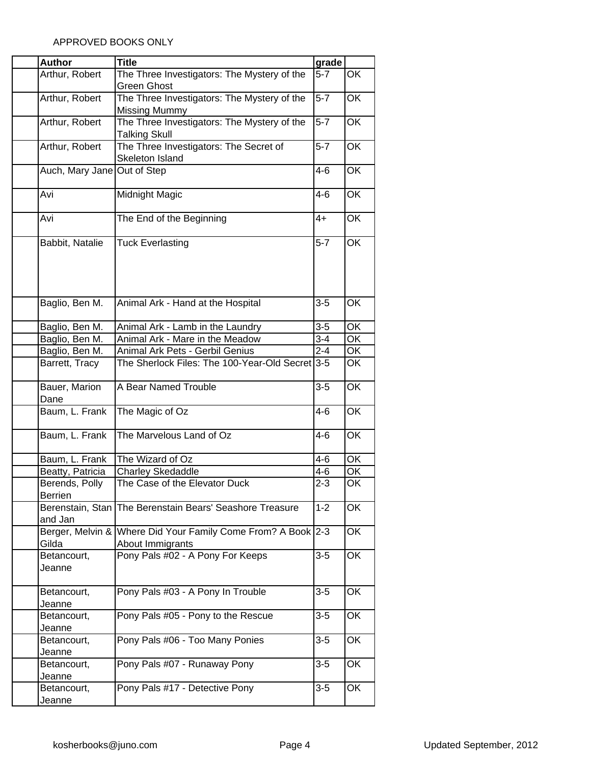| <b>Author</b>                    | <b>Title</b>                                                                     | grade              |                          |
|----------------------------------|----------------------------------------------------------------------------------|--------------------|--------------------------|
| Arthur, Robert                   | The Three Investigators: The Mystery of the                                      | $5 - 7$            | OK                       |
|                                  | <b>Green Ghost</b>                                                               |                    |                          |
| Arthur, Robert                   | The Three Investigators: The Mystery of the<br><b>Missing Mummy</b>              | $5-7$              | OK                       |
| Arthur, Robert                   | The Three Investigators: The Mystery of the<br><b>Talking Skull</b>              | $5-7$              | OK                       |
| Arthur, Robert                   | The Three Investigators: The Secret of<br>Skeleton Island                        | $5-7$              | OK                       |
| Auch, Mary Jane Out of Step      |                                                                                  | $4-6$              | OK                       |
| Avi                              | Midnight Magic                                                                   | $4 - 6$            | OK                       |
| Avi                              | The End of the Beginning                                                         | $4+$               | OK                       |
| Babbit, Natalie                  | <b>Tuck Everlasting</b>                                                          | $5 - 7$            | $\overline{OK}$          |
| Baglio, Ben M.                   | Animal Ark - Hand at the Hospital                                                | $3-5$              | OK                       |
| Baglio, Ben M.                   | Animal Ark - Lamb in the Laundry                                                 | $3 - 5$            | OK                       |
| Baglio, Ben M.                   | Animal Ark - Mare in the Meadow                                                  | $3 - 4$            | OK                       |
| Baglio, Ben M.                   | Animal Ark Pets - Gerbil Genius                                                  | $\overline{2} - 4$ | $\overline{\mathsf{OK}}$ |
| Barrett, Tracy                   | The Sherlock Files: The 100-Year-Old Secret 3-5                                  |                    | OK                       |
| Bauer, Marion<br>Dane            | A Bear Named Trouble                                                             | $3-5$              | OK                       |
| Baum, L. Frank                   | The Magic of Oz                                                                  | $4 - 6$            | OK                       |
| Baum, L. Frank                   | The Marvelous Land of Oz                                                         | $4 - 6$            | OK                       |
| Baum, L. Frank                   | The Wizard of Oz                                                                 | 4-6                | OK                       |
| Beatty, Patricia                 | <b>Charley Skedaddle</b>                                                         | $4-6$              | OK                       |
| Berends, Polly<br><b>Berrien</b> | The Case of the Elevator Duck                                                    | $2 - 3$            | OK                       |
| and Jan                          | Berenstain, Stan The Berenstain Bears' Seashore Treasure                         | $1 - 2$            | OK                       |
| Gilda                            | Berger, Melvin & Where Did Your Family Come From? A Book 2-3<br>About Immigrants |                    | OK                       |
| Betancourt,<br>Jeanne            | Pony Pals #02 - A Pony For Keeps                                                 | $3-5$              | OK                       |
| Betancourt,<br>Jeanne            | Pony Pals #03 - A Pony In Trouble                                                | $3 - 5$            | OK                       |
| Betancourt,<br>Jeanne            | Pony Pals #05 - Pony to the Rescue                                               | $3 - 5$            | OK                       |
| Betancourt,<br>Jeanne            | Pony Pals #06 - Too Many Ponies                                                  | $3-5$              | OK                       |
| Betancourt,<br>Jeanne            | Pony Pals #07 - Runaway Pony                                                     | $3-5$              | OK                       |
| Betancourt,<br>Jeanne            | Pony Pals #17 - Detective Pony                                                   | $3-5$              | OK                       |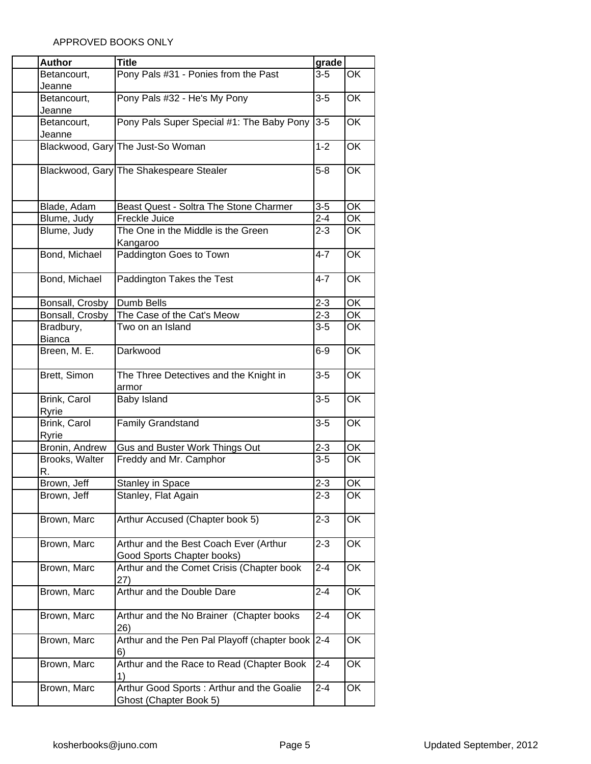| <b>Author</b>         | <b>Title</b>                                                         | grade   |                          |
|-----------------------|----------------------------------------------------------------------|---------|--------------------------|
| Betancourt,           | Pony Pals #31 - Ponies from the Past                                 | $3-5$   | OK                       |
| Jeanne                |                                                                      |         |                          |
| Betancourt,           | Pony Pals #32 - He's My Pony                                         | $3-5$   | OK                       |
| Jeanne                |                                                                      |         |                          |
| Betancourt,           | Pony Pals Super Special #1: The Baby Pony                            | $3-5$   | OK                       |
| Jeanne                |                                                                      |         |                          |
|                       | Blackwood, Gary The Just-So Woman                                    | $1 - 2$ | OK                       |
|                       | Blackwood, Gary The Shakespeare Stealer                              | $5 - 8$ | OK                       |
| Blade, Adam           | Beast Quest - Soltra The Stone Charmer                               | $3-5$   | OK                       |
| Blume, Judy           | Freckle Juice                                                        | $2 - 4$ | OK                       |
| Blume, Judy           | The One in the Middle is the Green                                   | $2 - 3$ | OK                       |
|                       | Kangaroo                                                             |         |                          |
| Bond, Michael         | Paddington Goes to Town                                              | $4 - 7$ | OK                       |
| Bond, Michael         | Paddington Takes the Test                                            | 4-7     | OK                       |
| Bonsall, Crosby       | <b>Dumb Bells</b>                                                    | $2 - 3$ | OK                       |
| Bonsall, Crosby       | The Case of the Cat's Meow                                           | $2 - 3$ | OK                       |
| Bradbury,             | Two on an Island                                                     | $3-5$   | OK                       |
| <b>Bianca</b>         |                                                                      |         |                          |
| Breen, M. E.          | Darkwood                                                             | $6-9$   | OK                       |
| Brett, Simon          | The Three Detectives and the Knight in                               | $3-5$   | $\overline{\mathsf{OK}}$ |
|                       | armor                                                                |         |                          |
| Brink, Carol<br>Ryrie | Baby Island                                                          | $3-5$   | OK                       |
| Brink, Carol<br>Ryrie | Family Grandstand                                                    | $3-5$   | OK                       |
| Bronin, Andrew        | Gus and Buster Work Things Out                                       | $2 - 3$ | OK                       |
| Brooks, Walter<br>R.  | Freddy and Mr. Camphor                                               | $3-5$   | OK                       |
| Brown, Jeff           | <b>Stanley in Space</b>                                              | $2 - 3$ | OK                       |
| Brown, Jeff           | Stanley, Flat Again                                                  | $2 - 3$ | OK                       |
| Brown, Marc           | Arthur Accused (Chapter book 5)                                      | $2 - 3$ | OK                       |
| Brown, Marc           | Arthur and the Best Coach Ever (Arthur<br>Good Sports Chapter books) | $2 - 3$ | OK                       |
| Brown, Marc           | Arthur and the Comet Crisis (Chapter book<br>27)                     | $2 - 4$ | OK                       |
| Brown, Marc           | Arthur and the Double Dare                                           | $2 - 4$ | OK                       |
| Brown, Marc           | Arthur and the No Brainer (Chapter books<br>26)                      | 2-4     | OK                       |
| Brown, Marc           | Arthur and the Pen Pal Playoff (chapter book<br>6)                   | $2 - 4$ | OK                       |
| Brown, Marc           | Arthur and the Race to Read (Chapter Book<br>1)                      | $2 - 4$ | OK                       |
| Brown, Marc           | Arthur Good Sports: Arthur and the Goalie<br>Ghost (Chapter Book 5)  | $2 - 4$ | OK                       |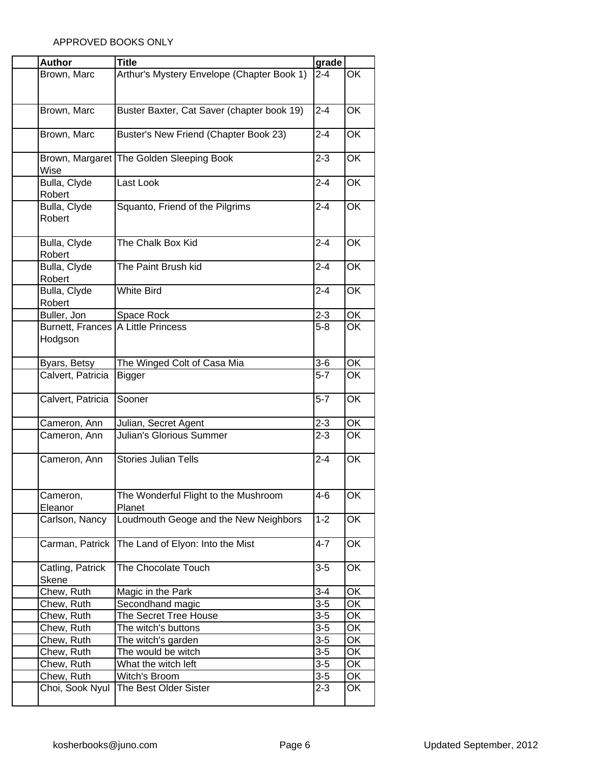| <b>Author</b>                      | <b>Title</b>                               | grade              |           |
|------------------------------------|--------------------------------------------|--------------------|-----------|
| Brown, Marc                        | Arthur's Mystery Envelope (Chapter Book 1) | $2 - 4$            | OK        |
|                                    |                                            |                    |           |
|                                    |                                            |                    |           |
| Brown, Marc                        |                                            | $2 - 4$            | OK        |
|                                    | Buster Baxter, Cat Saver (chapter book 19) |                    |           |
|                                    |                                            |                    |           |
| Brown, Marc                        | Buster's New Friend (Chapter Book 23)      | $2 - 4$            | OK        |
|                                    |                                            |                    |           |
|                                    | Brown, Margaret The Golden Sleeping Book   | $2 - 3$            | OK        |
| Wise                               |                                            |                    |           |
| Bulla, Clyde                       | Last Look                                  | $2 - 4$            | OK        |
| Robert                             |                                            |                    |           |
| Bulla, Clyde                       | Squanto, Friend of the Pilgrims            | $2 - 4$            | OK        |
| Robert                             |                                            |                    |           |
|                                    |                                            |                    |           |
| Bulla, Clyde                       | The Chalk Box Kid                          | $2 - 4$            | OK        |
| Robert                             |                                            |                    |           |
| Bulla, Clyde                       | The Paint Brush kid                        | $2 - 4$            | OK        |
| Robert                             |                                            |                    |           |
| Bulla, Clyde                       | <b>White Bird</b>                          | $2 - 4$            | OK        |
|                                    |                                            |                    |           |
| Robert                             |                                            |                    |           |
| Buller, Jon                        | Space Rock                                 | $2 - 3$            | ОK        |
| Burnett, Frances A Little Princess |                                            | $5-8$              | OK        |
| Hodgson                            |                                            |                    |           |
|                                    |                                            |                    |           |
| Byars, Betsy                       | The Winged Colt of Casa Mia                | $3-6$              | OK        |
| Calvert, Patricia                  | <b>Bigger</b>                              | $5-7$              | <b>OK</b> |
|                                    |                                            |                    |           |
| Calvert, Patricia                  | Sooner                                     | $\overline{5} - 7$ | <b>OK</b> |
|                                    |                                            |                    |           |
| Cameron, Ann                       | Julian, Secret Agent                       | $2 - 3$            | ОK        |
| Cameron, Ann                       | <b>Julian's Glorious Summer</b>            | $2 - 3$            | OK        |
|                                    |                                            |                    |           |
| Cameron, Ann                       | Stories Julian Tells                       | $2 - 4$            | OK        |
|                                    |                                            |                    |           |
|                                    |                                            |                    |           |
|                                    |                                            |                    |           |
| Cameron,                           | The Wonderful Flight to the Mushroom       | 4-6                | ОK        |
| Eleanor                            | Planet                                     |                    |           |
| Carlson, Nancy                     | Loudmouth Geoge and the New Neighbors      | $1 - 2$            | OK        |
|                                    |                                            |                    |           |
| Carman, Patrick                    | The Land of Elyon: Into the Mist           | $4 - 7$            | OK        |
|                                    |                                            |                    |           |
| Catling, Patrick                   | The Chocolate Touch                        | $3-5$              | OK        |
| Skene                              |                                            |                    |           |
| Chew, Ruth                         | Magic in the Park                          | $3 - 4$            | OK        |
| Chew, Ruth                         | Secondhand magic                           | $3-5$              | ОK        |
| Chew, Ruth                         | The Secret Tree House                      | $3-5$              | OK        |
| Chew, Ruth                         | The witch's buttons                        | $3 - 5$            | ОK        |
| Chew, Ruth                         |                                            | $3 - 5$            | ОK        |
|                                    | The witch's garden                         |                    |           |
| Chew, Ruth                         | The would be witch                         | $3-5$              | OK        |
| Chew, Ruth                         | What the witch left                        | $3-5$              | OK        |
| Chew, Ruth                         | Witch's Broom                              | $\overline{3}$ -5  | OK        |
| Choi, Sook Nyul                    | The Best Older Sister                      | $2 - 3$            | OK        |
|                                    |                                            |                    |           |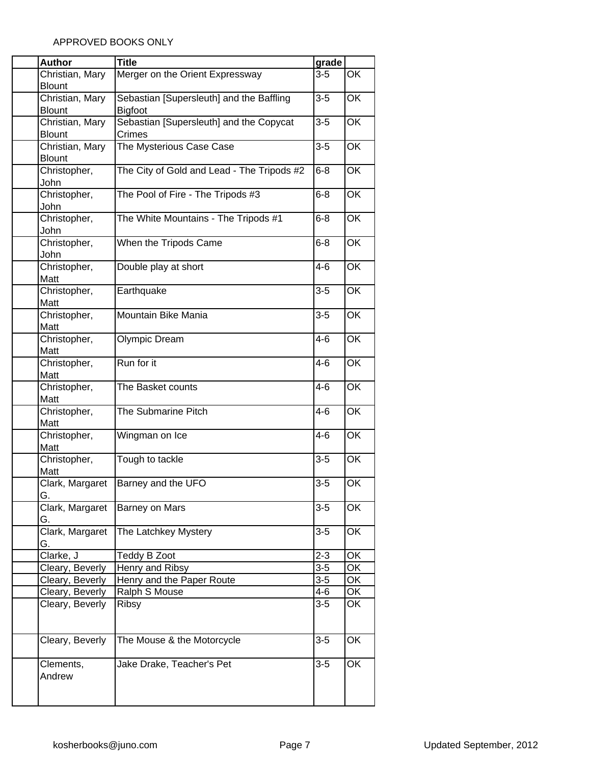| <b>Author</b>        | <b>Title</b>                               | grade   |                          |
|----------------------|--------------------------------------------|---------|--------------------------|
| Christian, Mary      | Merger on the Orient Expressway            | $3-5$   | OK                       |
| <b>Blount</b>        |                                            |         |                          |
| Christian, Mary      | Sebastian [Supersleuth] and the Baffling   | $3 - 5$ | OK                       |
| <b>Blount</b>        | <b>Bigfoot</b>                             |         |                          |
| Christian, Mary      | Sebastian [Supersleuth] and the Copycat    | $3-5$   | OK                       |
| <b>Blount</b>        | Crimes                                     |         |                          |
| Christian, Mary      | The Mysterious Case Case                   | $3-5$   | OK                       |
| <b>Blount</b>        |                                            |         |                          |
| Christopher,         | The City of Gold and Lead - The Tripods #2 | $6 - 8$ | OK                       |
| John<br>Christopher, | The Pool of Fire - The Tripods #3          | $6 - 8$ | OK                       |
| John                 |                                            |         |                          |
| Christopher,         | The White Mountains - The Tripods #1       | $6 - 8$ | OK                       |
| John                 |                                            |         |                          |
| Christopher,         | When the Tripods Came                      | $6 - 8$ | $\overline{\mathsf{OK}}$ |
| John                 |                                            |         |                          |
| Christopher,         | Double play at short                       | $4 - 6$ | OK                       |
| Matt                 |                                            |         |                          |
| Christopher,         | Earthquake                                 | $3-5$   | OK                       |
| Matt                 |                                            |         |                          |
| Christopher,         | Mountain Bike Mania                        | $3 - 5$ | OK                       |
| Matt                 |                                            |         |                          |
| Christopher,         | <b>Olympic Dream</b>                       | $4 - 6$ | OK                       |
| Matt                 |                                            |         |                          |
| Christopher,         | Run for it                                 | $4 - 6$ | OK                       |
| Matt                 |                                            |         |                          |
| Christopher,         | The Basket counts                          | $4 - 6$ | OK                       |
| Matt<br>Christopher, | The Submarine Pitch                        | $4 - 6$ | OK                       |
| Matt                 |                                            |         |                          |
| Christopher,         | Wingman on Ice                             | $4 - 6$ | OK                       |
| Matt                 |                                            |         |                          |
| Christopher,         | Tough to tackle                            | $3-5$   | OK                       |
| Matt                 |                                            |         |                          |
| Clark, Margaret      | Barney and the UFO                         | $3-5$   | OK                       |
| G.                   |                                            |         |                          |
| Clark, Margaret      | <b>Barney on Mars</b>                      | $3-5$   | OK                       |
| G.                   |                                            |         |                          |
| Clark, Margaret      | The Latchkey Mystery                       | $3 - 5$ | OK                       |
| G.                   |                                            |         |                          |
| Clarke, J            | Teddy B Zoot                               | $2 - 3$ | OK                       |
| Cleary, Beverly      | Henry and Ribsy                            | $3-5$   | OK                       |
| Cleary, Beverly      | Henry and the Paper Route                  | $3-5$   | OK                       |
| Cleary, Beverly      | Ralph S Mouse                              | $4 - 6$ | OK                       |
| Cleary, Beverly      | <b>Ribsy</b>                               | $3-5$   | OK                       |
|                      |                                            |         |                          |
|                      |                                            | $3 - 5$ | OK                       |
| Cleary, Beverly      | The Mouse & the Motorcycle                 |         |                          |
| Clements,            | Jake Drake, Teacher's Pet                  | $3-5$   | OK                       |
| Andrew               |                                            |         |                          |
|                      |                                            |         |                          |
|                      |                                            |         |                          |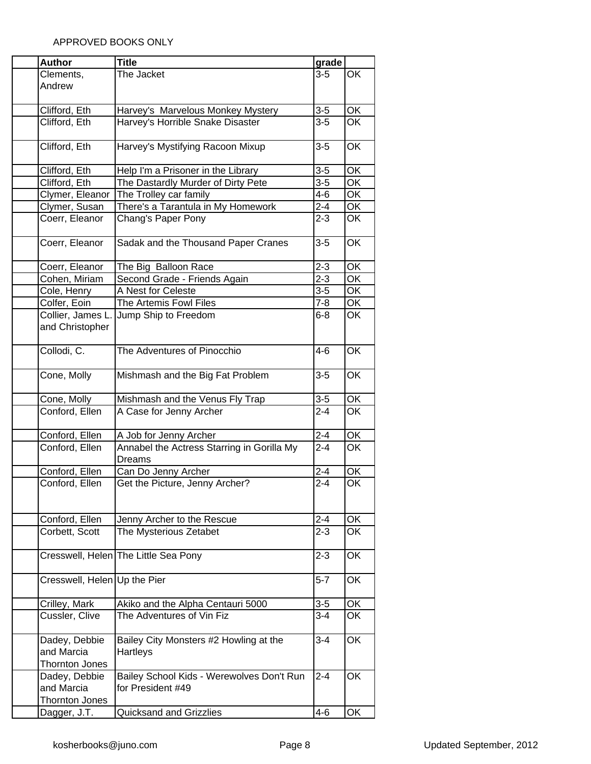| The Jacket<br>OK<br>Clements,<br>$3-5$<br>Andrew<br>$3-5$<br>OK<br>Clifford, Eth<br>Harvey's Marvelous Monkey Mystery<br>$3-5$<br>Clifford, Eth<br>Harvey's Horrible Snake Disaster<br>OK<br>OK<br>Clifford, Eth<br>Harvey's Mystifying Racoon Mixup<br>$3-5$<br>OK<br>$3-5$<br>Clifford, Eth<br>Help I'm a Prisoner in the Library<br>Clifford, Eth<br>The Dastardly Murder of Dirty Pete<br>$3 - 5$<br>OK<br>OK<br>Clymer, Eleanor<br>The Trolley car family<br>$4 - 6$<br>OK<br>Clymer, Susan<br>There's a Tarantula in My Homework<br>$2 - 4$<br>Coerr, Eleanor<br>$2 - 3$<br>OK<br>Chang's Paper Pony<br>$\overline{OK}$<br>Coerr, Eleanor<br>Sadak and the Thousand Paper Cranes<br>$3-5$<br>OK<br>$2 - 3$<br>Coerr, Eleanor<br>The Big Balloon Race<br>$2 - 3$<br>$\overline{\mathsf{OK}}$<br>Cohen, Miriam<br>Second Grade - Friends Again<br>$3 - 5$<br>OK<br>A Nest for Celeste<br>Cole, Henry<br>$7 - 8$<br>Colfer, Eoin<br>OK<br>The Artemis Fowl Files<br>Collier, James L.<br>OK<br>$6 - 8$<br>Jump Ship to Freedom<br>and Christopher<br>Collodi, C.<br>OK<br>The Adventures of Pinocchio<br>$4 - 6$<br>OK<br>Cone, Molly<br>Mishmash and the Big Fat Problem<br>$3-5$<br>OK<br>Cone, Molly<br>Mishmash and the Venus Fly Trap<br>$3-5$<br>Conford, Ellen<br>$2 - 4$<br>OK<br>A Case for Jenny Archer<br>ŌK<br>Conford, Ellen<br>$2 - 4$<br>A Job for Jenny Archer<br>Annabel the Actress Starring in Gorilla My<br>$2 - 4$<br>OK<br>Conford, Ellen<br>Dreams<br>OK<br>Conford, Ellen<br>Can Do Jenny Archer<br>$2 - 4$<br>$\overline{2-4}$<br>OK<br>Get the Picture, Jenny Archer?<br>Conford, Ellen<br>$2 - 4$<br>OK<br>Conford, Ellen<br>Jenny Archer to the Rescue<br>$2 - 3$<br>OK<br>Corbett, Scott<br>The Mysterious Zetabet<br>OK<br>Cresswell, Helen The Little Sea Pony<br>$2 - 3$<br>$5 - 7$<br>OK<br>Cresswell, Helen Up the Pier<br>$3-5$<br>OK<br>Crilley, Mark<br>Akiko and the Alpha Centauri 5000<br>$3 - 4$<br>The Adventures of Vin Fiz<br>OK<br>Cussler, Clive<br>OK<br>Dadey, Debbie<br>Bailey City Monsters #2 Howling at the<br>$3 - 4$<br>and Marcia<br>Hartleys<br><b>Thornton Jones</b><br>Bailey School Kids - Werewolves Don't Run<br>$2 - 4$<br>OK<br>Dadey, Debbie<br>and Marcia<br>for President #49<br><b>Thornton Jones</b> | <b>Author</b> | <b>Title</b>            | grade   |    |
|-----------------------------------------------------------------------------------------------------------------------------------------------------------------------------------------------------------------------------------------------------------------------------------------------------------------------------------------------------------------------------------------------------------------------------------------------------------------------------------------------------------------------------------------------------------------------------------------------------------------------------------------------------------------------------------------------------------------------------------------------------------------------------------------------------------------------------------------------------------------------------------------------------------------------------------------------------------------------------------------------------------------------------------------------------------------------------------------------------------------------------------------------------------------------------------------------------------------------------------------------------------------------------------------------------------------------------------------------------------------------------------------------------------------------------------------------------------------------------------------------------------------------------------------------------------------------------------------------------------------------------------------------------------------------------------------------------------------------------------------------------------------------------------------------------------------------------------------------------------------------------------------------------------------------------------------------------------------------------------------------------------------------------------------------------------------------------------------------------------------------------------------------------------------------------------------------------------------------------------------------------------------------------|---------------|-------------------------|---------|----|
|                                                                                                                                                                                                                                                                                                                                                                                                                                                                                                                                                                                                                                                                                                                                                                                                                                                                                                                                                                                                                                                                                                                                                                                                                                                                                                                                                                                                                                                                                                                                                                                                                                                                                                                                                                                                                                                                                                                                                                                                                                                                                                                                                                                                                                                                             |               |                         |         |    |
|                                                                                                                                                                                                                                                                                                                                                                                                                                                                                                                                                                                                                                                                                                                                                                                                                                                                                                                                                                                                                                                                                                                                                                                                                                                                                                                                                                                                                                                                                                                                                                                                                                                                                                                                                                                                                                                                                                                                                                                                                                                                                                                                                                                                                                                                             |               |                         |         |    |
|                                                                                                                                                                                                                                                                                                                                                                                                                                                                                                                                                                                                                                                                                                                                                                                                                                                                                                                                                                                                                                                                                                                                                                                                                                                                                                                                                                                                                                                                                                                                                                                                                                                                                                                                                                                                                                                                                                                                                                                                                                                                                                                                                                                                                                                                             |               |                         |         |    |
|                                                                                                                                                                                                                                                                                                                                                                                                                                                                                                                                                                                                                                                                                                                                                                                                                                                                                                                                                                                                                                                                                                                                                                                                                                                                                                                                                                                                                                                                                                                                                                                                                                                                                                                                                                                                                                                                                                                                                                                                                                                                                                                                                                                                                                                                             |               |                         |         |    |
|                                                                                                                                                                                                                                                                                                                                                                                                                                                                                                                                                                                                                                                                                                                                                                                                                                                                                                                                                                                                                                                                                                                                                                                                                                                                                                                                                                                                                                                                                                                                                                                                                                                                                                                                                                                                                                                                                                                                                                                                                                                                                                                                                                                                                                                                             |               |                         |         |    |
|                                                                                                                                                                                                                                                                                                                                                                                                                                                                                                                                                                                                                                                                                                                                                                                                                                                                                                                                                                                                                                                                                                                                                                                                                                                                                                                                                                                                                                                                                                                                                                                                                                                                                                                                                                                                                                                                                                                                                                                                                                                                                                                                                                                                                                                                             |               |                         |         |    |
|                                                                                                                                                                                                                                                                                                                                                                                                                                                                                                                                                                                                                                                                                                                                                                                                                                                                                                                                                                                                                                                                                                                                                                                                                                                                                                                                                                                                                                                                                                                                                                                                                                                                                                                                                                                                                                                                                                                                                                                                                                                                                                                                                                                                                                                                             |               |                         |         |    |
|                                                                                                                                                                                                                                                                                                                                                                                                                                                                                                                                                                                                                                                                                                                                                                                                                                                                                                                                                                                                                                                                                                                                                                                                                                                                                                                                                                                                                                                                                                                                                                                                                                                                                                                                                                                                                                                                                                                                                                                                                                                                                                                                                                                                                                                                             |               |                         |         |    |
|                                                                                                                                                                                                                                                                                                                                                                                                                                                                                                                                                                                                                                                                                                                                                                                                                                                                                                                                                                                                                                                                                                                                                                                                                                                                                                                                                                                                                                                                                                                                                                                                                                                                                                                                                                                                                                                                                                                                                                                                                                                                                                                                                                                                                                                                             |               |                         |         |    |
|                                                                                                                                                                                                                                                                                                                                                                                                                                                                                                                                                                                                                                                                                                                                                                                                                                                                                                                                                                                                                                                                                                                                                                                                                                                                                                                                                                                                                                                                                                                                                                                                                                                                                                                                                                                                                                                                                                                                                                                                                                                                                                                                                                                                                                                                             |               |                         |         |    |
|                                                                                                                                                                                                                                                                                                                                                                                                                                                                                                                                                                                                                                                                                                                                                                                                                                                                                                                                                                                                                                                                                                                                                                                                                                                                                                                                                                                                                                                                                                                                                                                                                                                                                                                                                                                                                                                                                                                                                                                                                                                                                                                                                                                                                                                                             |               |                         |         |    |
|                                                                                                                                                                                                                                                                                                                                                                                                                                                                                                                                                                                                                                                                                                                                                                                                                                                                                                                                                                                                                                                                                                                                                                                                                                                                                                                                                                                                                                                                                                                                                                                                                                                                                                                                                                                                                                                                                                                                                                                                                                                                                                                                                                                                                                                                             |               |                         |         |    |
|                                                                                                                                                                                                                                                                                                                                                                                                                                                                                                                                                                                                                                                                                                                                                                                                                                                                                                                                                                                                                                                                                                                                                                                                                                                                                                                                                                                                                                                                                                                                                                                                                                                                                                                                                                                                                                                                                                                                                                                                                                                                                                                                                                                                                                                                             |               |                         |         |    |
|                                                                                                                                                                                                                                                                                                                                                                                                                                                                                                                                                                                                                                                                                                                                                                                                                                                                                                                                                                                                                                                                                                                                                                                                                                                                                                                                                                                                                                                                                                                                                                                                                                                                                                                                                                                                                                                                                                                                                                                                                                                                                                                                                                                                                                                                             |               |                         |         |    |
|                                                                                                                                                                                                                                                                                                                                                                                                                                                                                                                                                                                                                                                                                                                                                                                                                                                                                                                                                                                                                                                                                                                                                                                                                                                                                                                                                                                                                                                                                                                                                                                                                                                                                                                                                                                                                                                                                                                                                                                                                                                                                                                                                                                                                                                                             |               |                         |         |    |
|                                                                                                                                                                                                                                                                                                                                                                                                                                                                                                                                                                                                                                                                                                                                                                                                                                                                                                                                                                                                                                                                                                                                                                                                                                                                                                                                                                                                                                                                                                                                                                                                                                                                                                                                                                                                                                                                                                                                                                                                                                                                                                                                                                                                                                                                             |               |                         |         |    |
|                                                                                                                                                                                                                                                                                                                                                                                                                                                                                                                                                                                                                                                                                                                                                                                                                                                                                                                                                                                                                                                                                                                                                                                                                                                                                                                                                                                                                                                                                                                                                                                                                                                                                                                                                                                                                                                                                                                                                                                                                                                                                                                                                                                                                                                                             |               |                         |         |    |
|                                                                                                                                                                                                                                                                                                                                                                                                                                                                                                                                                                                                                                                                                                                                                                                                                                                                                                                                                                                                                                                                                                                                                                                                                                                                                                                                                                                                                                                                                                                                                                                                                                                                                                                                                                                                                                                                                                                                                                                                                                                                                                                                                                                                                                                                             |               |                         |         |    |
|                                                                                                                                                                                                                                                                                                                                                                                                                                                                                                                                                                                                                                                                                                                                                                                                                                                                                                                                                                                                                                                                                                                                                                                                                                                                                                                                                                                                                                                                                                                                                                                                                                                                                                                                                                                                                                                                                                                                                                                                                                                                                                                                                                                                                                                                             |               |                         |         |    |
|                                                                                                                                                                                                                                                                                                                                                                                                                                                                                                                                                                                                                                                                                                                                                                                                                                                                                                                                                                                                                                                                                                                                                                                                                                                                                                                                                                                                                                                                                                                                                                                                                                                                                                                                                                                                                                                                                                                                                                                                                                                                                                                                                                                                                                                                             |               |                         |         |    |
|                                                                                                                                                                                                                                                                                                                                                                                                                                                                                                                                                                                                                                                                                                                                                                                                                                                                                                                                                                                                                                                                                                                                                                                                                                                                                                                                                                                                                                                                                                                                                                                                                                                                                                                                                                                                                                                                                                                                                                                                                                                                                                                                                                                                                                                                             |               |                         |         |    |
|                                                                                                                                                                                                                                                                                                                                                                                                                                                                                                                                                                                                                                                                                                                                                                                                                                                                                                                                                                                                                                                                                                                                                                                                                                                                                                                                                                                                                                                                                                                                                                                                                                                                                                                                                                                                                                                                                                                                                                                                                                                                                                                                                                                                                                                                             |               |                         |         |    |
|                                                                                                                                                                                                                                                                                                                                                                                                                                                                                                                                                                                                                                                                                                                                                                                                                                                                                                                                                                                                                                                                                                                                                                                                                                                                                                                                                                                                                                                                                                                                                                                                                                                                                                                                                                                                                                                                                                                                                                                                                                                                                                                                                                                                                                                                             |               |                         |         |    |
|                                                                                                                                                                                                                                                                                                                                                                                                                                                                                                                                                                                                                                                                                                                                                                                                                                                                                                                                                                                                                                                                                                                                                                                                                                                                                                                                                                                                                                                                                                                                                                                                                                                                                                                                                                                                                                                                                                                                                                                                                                                                                                                                                                                                                                                                             |               |                         |         |    |
|                                                                                                                                                                                                                                                                                                                                                                                                                                                                                                                                                                                                                                                                                                                                                                                                                                                                                                                                                                                                                                                                                                                                                                                                                                                                                                                                                                                                                                                                                                                                                                                                                                                                                                                                                                                                                                                                                                                                                                                                                                                                                                                                                                                                                                                                             |               |                         |         |    |
|                                                                                                                                                                                                                                                                                                                                                                                                                                                                                                                                                                                                                                                                                                                                                                                                                                                                                                                                                                                                                                                                                                                                                                                                                                                                                                                                                                                                                                                                                                                                                                                                                                                                                                                                                                                                                                                                                                                                                                                                                                                                                                                                                                                                                                                                             |               |                         |         |    |
|                                                                                                                                                                                                                                                                                                                                                                                                                                                                                                                                                                                                                                                                                                                                                                                                                                                                                                                                                                                                                                                                                                                                                                                                                                                                                                                                                                                                                                                                                                                                                                                                                                                                                                                                                                                                                                                                                                                                                                                                                                                                                                                                                                                                                                                                             |               |                         |         |    |
|                                                                                                                                                                                                                                                                                                                                                                                                                                                                                                                                                                                                                                                                                                                                                                                                                                                                                                                                                                                                                                                                                                                                                                                                                                                                                                                                                                                                                                                                                                                                                                                                                                                                                                                                                                                                                                                                                                                                                                                                                                                                                                                                                                                                                                                                             |               |                         |         |    |
|                                                                                                                                                                                                                                                                                                                                                                                                                                                                                                                                                                                                                                                                                                                                                                                                                                                                                                                                                                                                                                                                                                                                                                                                                                                                                                                                                                                                                                                                                                                                                                                                                                                                                                                                                                                                                                                                                                                                                                                                                                                                                                                                                                                                                                                                             |               |                         |         |    |
|                                                                                                                                                                                                                                                                                                                                                                                                                                                                                                                                                                                                                                                                                                                                                                                                                                                                                                                                                                                                                                                                                                                                                                                                                                                                                                                                                                                                                                                                                                                                                                                                                                                                                                                                                                                                                                                                                                                                                                                                                                                                                                                                                                                                                                                                             |               |                         |         |    |
|                                                                                                                                                                                                                                                                                                                                                                                                                                                                                                                                                                                                                                                                                                                                                                                                                                                                                                                                                                                                                                                                                                                                                                                                                                                                                                                                                                                                                                                                                                                                                                                                                                                                                                                                                                                                                                                                                                                                                                                                                                                                                                                                                                                                                                                                             |               |                         |         |    |
|                                                                                                                                                                                                                                                                                                                                                                                                                                                                                                                                                                                                                                                                                                                                                                                                                                                                                                                                                                                                                                                                                                                                                                                                                                                                                                                                                                                                                                                                                                                                                                                                                                                                                                                                                                                                                                                                                                                                                                                                                                                                                                                                                                                                                                                                             |               |                         |         |    |
|                                                                                                                                                                                                                                                                                                                                                                                                                                                                                                                                                                                                                                                                                                                                                                                                                                                                                                                                                                                                                                                                                                                                                                                                                                                                                                                                                                                                                                                                                                                                                                                                                                                                                                                                                                                                                                                                                                                                                                                                                                                                                                                                                                                                                                                                             |               |                         |         |    |
|                                                                                                                                                                                                                                                                                                                                                                                                                                                                                                                                                                                                                                                                                                                                                                                                                                                                                                                                                                                                                                                                                                                                                                                                                                                                                                                                                                                                                                                                                                                                                                                                                                                                                                                                                                                                                                                                                                                                                                                                                                                                                                                                                                                                                                                                             |               |                         |         |    |
|                                                                                                                                                                                                                                                                                                                                                                                                                                                                                                                                                                                                                                                                                                                                                                                                                                                                                                                                                                                                                                                                                                                                                                                                                                                                                                                                                                                                                                                                                                                                                                                                                                                                                                                                                                                                                                                                                                                                                                                                                                                                                                                                                                                                                                                                             |               |                         |         |    |
|                                                                                                                                                                                                                                                                                                                                                                                                                                                                                                                                                                                                                                                                                                                                                                                                                                                                                                                                                                                                                                                                                                                                                                                                                                                                                                                                                                                                                                                                                                                                                                                                                                                                                                                                                                                                                                                                                                                                                                                                                                                                                                                                                                                                                                                                             |               |                         |         |    |
|                                                                                                                                                                                                                                                                                                                                                                                                                                                                                                                                                                                                                                                                                                                                                                                                                                                                                                                                                                                                                                                                                                                                                                                                                                                                                                                                                                                                                                                                                                                                                                                                                                                                                                                                                                                                                                                                                                                                                                                                                                                                                                                                                                                                                                                                             |               |                         |         |    |
|                                                                                                                                                                                                                                                                                                                                                                                                                                                                                                                                                                                                                                                                                                                                                                                                                                                                                                                                                                                                                                                                                                                                                                                                                                                                                                                                                                                                                                                                                                                                                                                                                                                                                                                                                                                                                                                                                                                                                                                                                                                                                                                                                                                                                                                                             |               |                         |         |    |
|                                                                                                                                                                                                                                                                                                                                                                                                                                                                                                                                                                                                                                                                                                                                                                                                                                                                                                                                                                                                                                                                                                                                                                                                                                                                                                                                                                                                                                                                                                                                                                                                                                                                                                                                                                                                                                                                                                                                                                                                                                                                                                                                                                                                                                                                             |               |                         |         |    |
|                                                                                                                                                                                                                                                                                                                                                                                                                                                                                                                                                                                                                                                                                                                                                                                                                                                                                                                                                                                                                                                                                                                                                                                                                                                                                                                                                                                                                                                                                                                                                                                                                                                                                                                                                                                                                                                                                                                                                                                                                                                                                                                                                                                                                                                                             |               |                         |         |    |
|                                                                                                                                                                                                                                                                                                                                                                                                                                                                                                                                                                                                                                                                                                                                                                                                                                                                                                                                                                                                                                                                                                                                                                                                                                                                                                                                                                                                                                                                                                                                                                                                                                                                                                                                                                                                                                                                                                                                                                                                                                                                                                                                                                                                                                                                             |               |                         |         |    |
|                                                                                                                                                                                                                                                                                                                                                                                                                                                                                                                                                                                                                                                                                                                                                                                                                                                                                                                                                                                                                                                                                                                                                                                                                                                                                                                                                                                                                                                                                                                                                                                                                                                                                                                                                                                                                                                                                                                                                                                                                                                                                                                                                                                                                                                                             |               |                         |         |    |
|                                                                                                                                                                                                                                                                                                                                                                                                                                                                                                                                                                                                                                                                                                                                                                                                                                                                                                                                                                                                                                                                                                                                                                                                                                                                                                                                                                                                                                                                                                                                                                                                                                                                                                                                                                                                                                                                                                                                                                                                                                                                                                                                                                                                                                                                             |               |                         |         |    |
|                                                                                                                                                                                                                                                                                                                                                                                                                                                                                                                                                                                                                                                                                                                                                                                                                                                                                                                                                                                                                                                                                                                                                                                                                                                                                                                                                                                                                                                                                                                                                                                                                                                                                                                                                                                                                                                                                                                                                                                                                                                                                                                                                                                                                                                                             |               |                         |         |    |
|                                                                                                                                                                                                                                                                                                                                                                                                                                                                                                                                                                                                                                                                                                                                                                                                                                                                                                                                                                                                                                                                                                                                                                                                                                                                                                                                                                                                                                                                                                                                                                                                                                                                                                                                                                                                                                                                                                                                                                                                                                                                                                                                                                                                                                                                             |               |                         |         |    |
|                                                                                                                                                                                                                                                                                                                                                                                                                                                                                                                                                                                                                                                                                                                                                                                                                                                                                                                                                                                                                                                                                                                                                                                                                                                                                                                                                                                                                                                                                                                                                                                                                                                                                                                                                                                                                                                                                                                                                                                                                                                                                                                                                                                                                                                                             |               |                         |         |    |
|                                                                                                                                                                                                                                                                                                                                                                                                                                                                                                                                                                                                                                                                                                                                                                                                                                                                                                                                                                                                                                                                                                                                                                                                                                                                                                                                                                                                                                                                                                                                                                                                                                                                                                                                                                                                                                                                                                                                                                                                                                                                                                                                                                                                                                                                             |               |                         |         |    |
|                                                                                                                                                                                                                                                                                                                                                                                                                                                                                                                                                                                                                                                                                                                                                                                                                                                                                                                                                                                                                                                                                                                                                                                                                                                                                                                                                                                                                                                                                                                                                                                                                                                                                                                                                                                                                                                                                                                                                                                                                                                                                                                                                                                                                                                                             |               |                         |         |    |
|                                                                                                                                                                                                                                                                                                                                                                                                                                                                                                                                                                                                                                                                                                                                                                                                                                                                                                                                                                                                                                                                                                                                                                                                                                                                                                                                                                                                                                                                                                                                                                                                                                                                                                                                                                                                                                                                                                                                                                                                                                                                                                                                                                                                                                                                             |               |                         |         |    |
|                                                                                                                                                                                                                                                                                                                                                                                                                                                                                                                                                                                                                                                                                                                                                                                                                                                                                                                                                                                                                                                                                                                                                                                                                                                                                                                                                                                                                                                                                                                                                                                                                                                                                                                                                                                                                                                                                                                                                                                                                                                                                                                                                                                                                                                                             |               |                         |         |    |
|                                                                                                                                                                                                                                                                                                                                                                                                                                                                                                                                                                                                                                                                                                                                                                                                                                                                                                                                                                                                                                                                                                                                                                                                                                                                                                                                                                                                                                                                                                                                                                                                                                                                                                                                                                                                                                                                                                                                                                                                                                                                                                                                                                                                                                                                             |               |                         |         |    |
|                                                                                                                                                                                                                                                                                                                                                                                                                                                                                                                                                                                                                                                                                                                                                                                                                                                                                                                                                                                                                                                                                                                                                                                                                                                                                                                                                                                                                                                                                                                                                                                                                                                                                                                                                                                                                                                                                                                                                                                                                                                                                                                                                                                                                                                                             | Dagger, J.T.  | Quicksand and Grizzlies | $4 - 6$ | OK |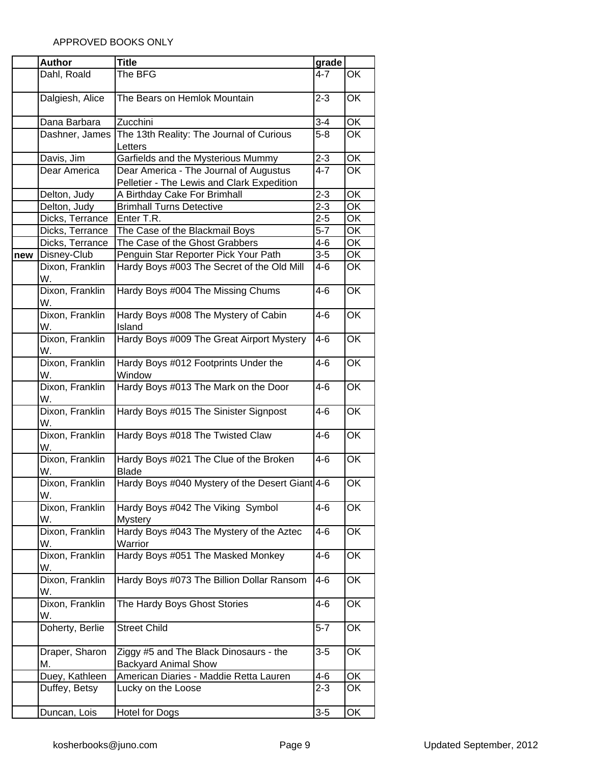|     | <b>Author</b>                | <b>Title</b>                                                               | grade   |                          |
|-----|------------------------------|----------------------------------------------------------------------------|---------|--------------------------|
|     | Dahl, Roald                  | The BFG                                                                    | 4-7     | OK                       |
|     |                              |                                                                            |         |                          |
|     | Dalgiesh, Alice              | The Bears on Hemlok Mountain                                               | $2 - 3$ | OK                       |
|     |                              |                                                                            |         |                          |
|     | Dana Barbara                 | Zucchini                                                                   | $3 - 4$ | OK                       |
|     | Dashner, James               | The 13th Reality: The Journal of Curious                                   | $5 - 8$ | ОK                       |
|     |                              | Letters                                                                    |         |                          |
|     | Davis, Jim                   | Garfields and the Mysterious Mummy                                         | $2 - 3$ | $\overline{\mathsf{OK}}$ |
|     | Dear America                 | Dear America - The Journal of Augustus                                     | $4 - 7$ | OK                       |
|     |                              | Pelletier - The Lewis and Clark Expedition<br>A Birthday Cake For Brimhall | $2 - 3$ | OK                       |
|     | Delton, Judy<br>Delton, Judy | <b>Brimhall Turns Detective</b>                                            | $2 - 3$ | OK                       |
|     | Dicks, Terrance              | Enter T.R.                                                                 | $2 - 5$ | ОK                       |
|     | Dicks, Terrance              | The Case of the Blackmail Boys                                             | $5 - 7$ | OK                       |
|     | Dicks, Terrance              | The Case of the Ghost Grabbers                                             | $4 - 6$ | $\overline{\mathsf{OK}}$ |
| new | Disney-Club                  | Penguin Star Reporter Pick Your Path                                       | $3-5$   | OK                       |
|     | Dixon, Franklin              | Hardy Boys #003 The Secret of the Old Mill                                 | 4-6     | OK                       |
|     | W.                           |                                                                            |         |                          |
|     | Dixon, Franklin              | Hardy Boys #004 The Missing Chums                                          | 4-6     | $\overline{\mathsf{OK}}$ |
|     | W.                           |                                                                            |         |                          |
|     | Dixon, Franklin              | Hardy Boys #008 The Mystery of Cabin                                       | $4 - 6$ | ОK                       |
|     | W.                           | Island                                                                     |         |                          |
|     | Dixon, Franklin              | Hardy Boys #009 The Great Airport Mystery                                  | $4 - 6$ | ОK                       |
|     | W.                           |                                                                            |         |                          |
|     | Dixon, Franklin              | Hardy Boys #012 Footprints Under the                                       | 4-6     | ОK                       |
|     | W.                           | Window                                                                     |         |                          |
|     | Dixon, Franklin              | Hardy Boys #013 The Mark on the Door                                       | $4 - 6$ | OK                       |
|     | W.                           |                                                                            |         |                          |
|     | Dixon, Franklin              | Hardy Boys #015 The Sinister Signpost                                      | $4 - 6$ | OK                       |
|     | W.                           |                                                                            |         |                          |
|     | Dixon, Franklin              | Hardy Boys #018 The Twisted Claw                                           | 4-6     | ОK                       |
|     | W.                           |                                                                            |         |                          |
|     | Dixon, Franklin              | Hardy Boys #021 The Clue of the Broken                                     | $4 - 6$ | OK                       |
|     | W.                           | <b>Blade</b>                                                               |         |                          |
|     | Dixon, Franklin              | Hardy Boys #040 Mystery of the Desert Giant 4-6                            |         | OK                       |
|     | W.                           |                                                                            |         |                          |
|     | Dixon, Franklin              | Hardy Boys #042 The Viking Symbol                                          | $4 - 6$ | OK                       |
|     | W.                           | Mystery                                                                    |         |                          |
|     | Dixon, Franklin              | Hardy Boys #043 The Mystery of the Aztec                                   | $4 - 6$ | ОK                       |
|     | W.                           | Warrior                                                                    |         |                          |
|     | Dixon, Franklin              | Hardy Boys #051 The Masked Monkey                                          | 4-6     | ОK                       |
|     | W.<br>Dixon, Franklin        | Hardy Boys #073 The Billion Dollar Ransom                                  | 4-6     | OK                       |
|     | W.                           |                                                                            |         |                          |
|     | Dixon, Franklin              | The Hardy Boys Ghost Stories                                               | 4-6     | ОK                       |
|     | W.                           |                                                                            |         |                          |
|     | Doherty, Berlie              | <b>Street Child</b>                                                        | $5 - 7$ | ОK                       |
|     |                              |                                                                            |         |                          |
|     | Draper, Sharon               | Ziggy #5 and The Black Dinosaurs - the                                     | 3-5     | ОK                       |
|     | М.                           | <b>Backyard Animal Show</b>                                                |         |                          |
|     | Duey, Kathleen               | American Diaries - Maddie Retta Lauren                                     | 4-6     | OK                       |
|     | Duffey, Betsy                | Lucky on the Loose                                                         | $2 - 3$ | OK                       |
|     |                              |                                                                            |         |                          |
|     | Duncan, Lois                 | Hotel for Dogs                                                             | $3-5$   | OK                       |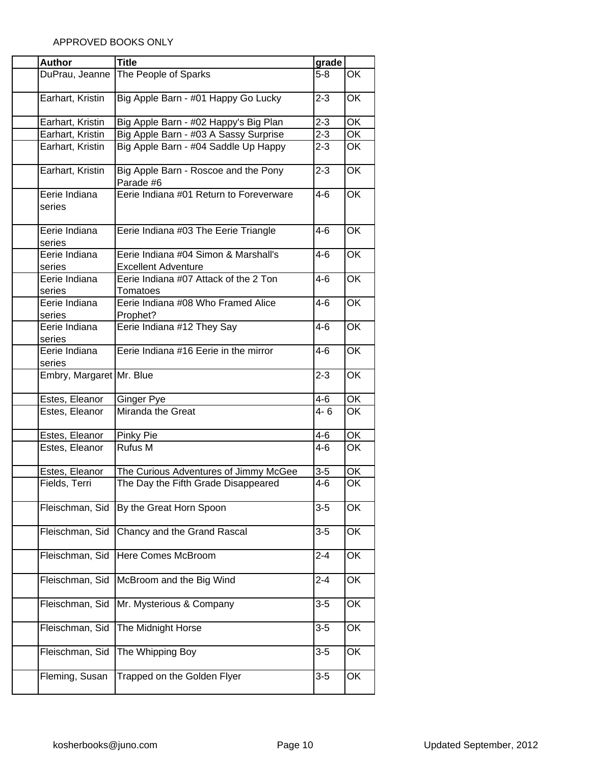| <b>Author</b>            | <b>Title</b>                                                       | grade   |                          |
|--------------------------|--------------------------------------------------------------------|---------|--------------------------|
| DuPrau, Jeanne           | The People of Sparks                                               | $5-8$   | OK                       |
| Earhart, Kristin         | Big Apple Barn - #01 Happy Go Lucky                                | $2 - 3$ | OK                       |
| Earhart, Kristin         | Big Apple Barn - #02 Happy's Big Plan                              | $2 - 3$ | OK                       |
| Earhart, Kristin         | Big Apple Barn - #03 A Sassy Surprise                              | $2 - 3$ | OK                       |
| Earhart, Kristin         | Big Apple Barn - #04 Saddle Up Happy                               | $2 - 3$ | ОK                       |
| Earhart, Kristin         | Big Apple Barn - Roscoe and the Pony<br>Parade #6                  | $2 - 3$ | OK                       |
| Eerie Indiana<br>series  | Eerie Indiana #01 Return to Foreverware                            | $4 - 6$ | OK                       |
| Eerie Indiana<br>series  | Eerie Indiana #03 The Eerie Triangle                               | $4 - 6$ | OK                       |
| Eerie Indiana<br>series  | Eerie Indiana #04 Simon & Marshall's<br><b>Excellent Adventure</b> | $4 - 6$ | ОK                       |
| Eerie Indiana<br>series  | Eerie Indiana #07 Attack of the 2 Ton<br>Tomatoes                  | 4-6     | ОK                       |
| Eerie Indiana<br>series  | Eerie Indiana #08 Who Framed Alice<br>Prophet?                     | 4-6     | ОK                       |
| Eerie Indiana<br>series  | Eerie Indiana #12 They Say                                         | 4-6     | OK                       |
| Eerie Indiana<br>series  | Eerie Indiana #16 Eerie in the mirror                              | 4-6     | OK                       |
| Embry, Margaret Mr. Blue |                                                                    | $2 - 3$ | OK                       |
| Estes, Eleanor           | Ginger Pye                                                         | 4-6     | OK                       |
| Estes, Eleanor           | Miranda the Great                                                  | $4 - 6$ | OK                       |
| Estes, Eleanor           | Pinky Pie                                                          | 4-6     | ОK                       |
| Estes, Eleanor           | Rufus M                                                            | 4-6     | OK                       |
| Estes, Eleanor           | The Curious Adventures of Jimmy McGee                              | $3-5$   | ОK                       |
| Fields, Terri            | The Day the Fifth Grade Disappeared                                | $4-6$   | OK                       |
| Fleischman, Sid          | By the Great Horn Spoon                                            | $3-5$   | OK                       |
| Fleischman, Sid          | Chancy and the Grand Rascal                                        | $3-5$   | OK                       |
| Fleischman, Sid          | Here Comes McBroom                                                 | $2 - 4$ | OK                       |
| Fleischman, Sid          | McBroom and the Big Wind                                           | $2 - 4$ | OK                       |
| Fleischman, Sid          | Mr. Mysterious & Company                                           | $3 - 5$ | OK                       |
| Fleischman, Sid          | The Midnight Horse                                                 | $3-5$   | OK                       |
| Fleischman, Sid          | The Whipping Boy                                                   | $3-5$   | OK                       |
| Fleming, Susan           | Trapped on the Golden Flyer                                        | $3-5$   | $\overline{\mathsf{OK}}$ |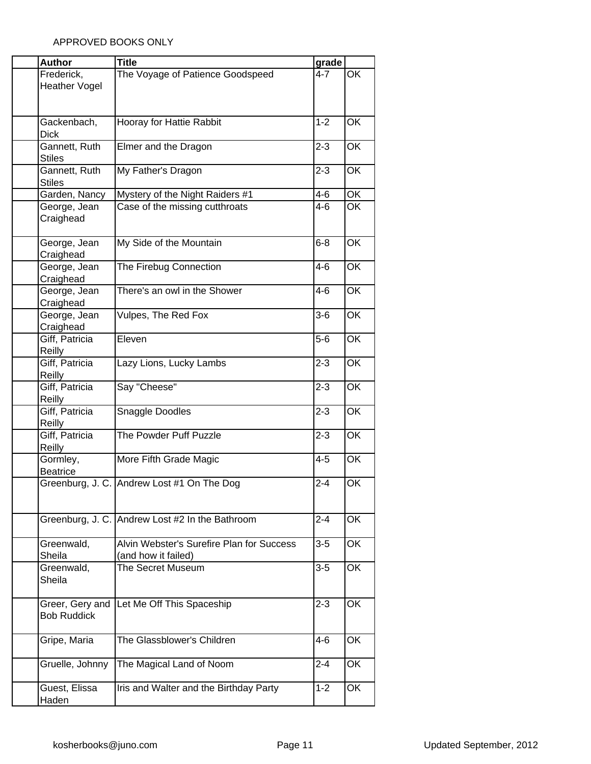| <b>Author</b>        | <b>Title</b>                                    | grade   |                          |
|----------------------|-------------------------------------------------|---------|--------------------------|
| Frederick,           | The Voyage of Patience Goodspeed                | $4 - 7$ | OK                       |
| <b>Heather Vogel</b> |                                                 |         |                          |
|                      |                                                 |         |                          |
|                      |                                                 |         |                          |
| Gackenbach,          | Hooray for Hattie Rabbit                        | $1 - 2$ | OK                       |
| <b>Dick</b>          |                                                 |         |                          |
| Gannett, Ruth        | Elmer and the Dragon                            | $2 - 3$ | OK                       |
| <b>Stiles</b>        |                                                 |         |                          |
| Gannett, Ruth        | My Father's Dragon                              | $2 - 3$ | OK                       |
| <b>Stiles</b>        |                                                 |         |                          |
| Garden, Nancy        | Mystery of the Night Raiders #1                 | $4 - 6$ | OK                       |
| George, Jean         | Case of the missing cutthroats                  | $4-6$   | $\overline{\mathsf{OK}}$ |
| Craighead            |                                                 |         |                          |
|                      |                                                 |         |                          |
| George, Jean         | My Side of the Mountain                         | $6 - 8$ | $\overline{\mathsf{OK}}$ |
| Craighead            |                                                 |         |                          |
| George, Jean         | The Firebug Connection                          | $4 - 6$ | OK                       |
| Craighead            |                                                 |         |                          |
| George, Jean         | There's an owl in the Shower                    | $4 - 6$ | OK                       |
| Craighead            |                                                 |         |                          |
| George, Jean         | Vulpes, The Red Fox                             | $3-6$   | OK                       |
|                      |                                                 |         |                          |
| Craighead            |                                                 |         |                          |
| Giff, Patricia       | Eleven                                          | $5-6$   | OK                       |
| Reilly               |                                                 |         |                          |
| Giff, Patricia       | Lazy Lions, Lucky Lambs                         | $2 - 3$ | OK                       |
| Reilly               |                                                 |         |                          |
| Giff, Patricia       | Say "Cheese"                                    | $2 - 3$ | OK                       |
| Reilly               |                                                 |         |                          |
| Giff, Patricia       | Snaggle Doodles                                 | $2 - 3$ | OK                       |
| Reilly               |                                                 |         |                          |
| Giff, Patricia       | The Powder Puff Puzzle                          | $2 - 3$ | $\overline{\mathsf{OK}}$ |
| Reilly               |                                                 |         |                          |
| Gormley,             | More Fifth Grade Magic                          | $4 - 5$ | OK                       |
| <b>Beatrice</b>      |                                                 |         |                          |
|                      | Greenburg, J. C. Andrew Lost #1 On The Dog      | $2 - 4$ | OK                       |
|                      |                                                 |         |                          |
|                      |                                                 |         |                          |
|                      | Greenburg, J. C. Andrew Lost #2 In the Bathroom | $2 - 4$ | OK                       |
|                      |                                                 |         |                          |
| Greenwald,           | Alvin Webster's Surefire Plan for Success       | $3 - 5$ | OK                       |
| Sheila               | (and how it failed)                             |         |                          |
| Greenwald,           | <b>The Secret Museum</b>                        | $3-5$   | OK                       |
| Sheila               |                                                 |         |                          |
|                      |                                                 |         |                          |
| Greer, Gery and      | Let Me Off This Spaceship                       | $2 - 3$ | OK                       |
| <b>Bob Ruddick</b>   |                                                 |         |                          |
|                      |                                                 |         |                          |
| Gripe, Maria         | The Glassblower's Children                      | 4-6     | OK                       |
|                      |                                                 |         |                          |
| Gruelle, Johnny      |                                                 | $2 - 4$ | OK                       |
|                      | The Magical Land of Noom                        |         |                          |
|                      |                                                 |         |                          |
| Guest, Elissa        | Iris and Walter and the Birthday Party          | $1 - 2$ | OK                       |
| Haden                |                                                 |         |                          |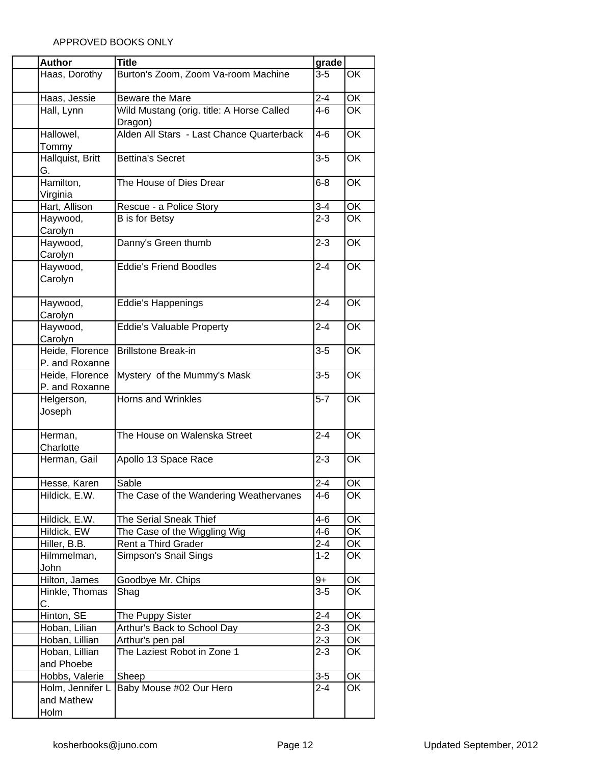| <b>Author</b>    | <b>Title</b>                              | grade   |                          |
|------------------|-------------------------------------------|---------|--------------------------|
| Haas, Dorothy    | Burton's Zoom, Zoom Va-room Machine       | $3-5$   | <b>OK</b>                |
|                  |                                           |         |                          |
| Haas, Jessie     | Beware the Mare                           | $2 - 4$ | OK                       |
| Hall, Lynn       | Wild Mustang (orig. title: A Horse Called | $4 - 6$ | $\overline{\mathsf{OK}}$ |
|                  | Dragon)                                   |         |                          |
| Hallowel,        | Alden All Stars - Last Chance Quarterback | $4 - 6$ | $\overline{\mathsf{OK}}$ |
| Tommy            |                                           |         |                          |
| Hallquist, Britt | <b>Bettina's Secret</b>                   | $3-5$   | <b>OK</b>                |
| G.               |                                           |         |                          |
| Hamilton,        | The House of Dies Drear                   | $6 - 8$ | OK                       |
| Virginia         |                                           |         |                          |
| Hart, Allison    | Rescue - a Police Story                   | $3 - 4$ | OK                       |
| Haywood,         | <b>B</b> is for Betsy                     | $2 - 3$ | $\overline{\mathsf{OK}}$ |
| Carolyn          |                                           |         |                          |
| Haywood,         | Danny's Green thumb                       | $2 - 3$ | $\overline{\mathsf{OK}}$ |
| Carolyn          |                                           |         |                          |
| Haywood,         | <b>Eddie's Friend Boodles</b>             | $2 - 4$ | OK                       |
| Carolyn          |                                           |         |                          |
|                  |                                           |         |                          |
| Haywood,         | Eddie's Happenings                        | $2 - 4$ | OK                       |
| Carolyn          |                                           |         |                          |
| Haywood,         | <b>Eddie's Valuable Property</b>          | $2 - 4$ | $\overline{\mathsf{OK}}$ |
| Carolyn          |                                           |         |                          |
| Heide, Florence  | <b>Brillstone Break-in</b>                | $3-5$   | <b>OK</b>                |
| P. and Roxanne   |                                           |         |                          |
| Heide, Florence  | Mystery of the Mummy's Mask               | $3-5$   | $\overline{\mathsf{OK}}$ |
| P. and Roxanne   |                                           |         |                          |
| Helgerson,       | Horns and Wrinkles                        | $5-7$   | OK                       |
| Joseph           |                                           |         |                          |
| Herman,          | The House on Walenska Street              | $2 - 4$ | OK                       |
| Charlotte        |                                           |         |                          |
| Herman, Gail     | Apollo 13 Space Race                      | $2 - 3$ | $\overline{\mathsf{OK}}$ |
|                  |                                           |         |                          |
| Hesse, Karen     | Sable                                     | $2 - 4$ | OK                       |
| Hildick, E.W.    | The Case of the Wandering Weathervanes    | 4-6     | OK                       |
|                  |                                           |         |                          |
| Hildick, E.W.    | The Serial Sneak Thief                    | $4 - 6$ | OK                       |
| Hildick, EW      | The Case of the Wiggling Wig              | $4 - 6$ | OK                       |
| Hiller, B.B.     | Rent a Third Grader                       | $2 - 4$ | OK                       |
| Hilmmelman,      | Simpson's Snail Sings                     | $1 - 2$ | OK                       |
| John             |                                           |         |                          |
| Hilton, James    | Goodbye Mr. Chips                         | $9+$    | OK                       |
| Hinkle, Thomas   | Shag                                      | $3-5$   | OK                       |
| С.               |                                           |         |                          |
| Hinton, SE       | The Puppy Sister                          | $2 - 4$ | OK                       |
| Hoban, Lilian    | Arthur's Back to School Day               | $2 - 3$ | OK                       |
| Hoban, Lillian   | Arthur's pen pal                          | $2 - 3$ | OK                       |
| Hoban, Lillian   | The Laziest Robot in Zone 1               | $2 - 3$ | OK                       |
| and Phoebe       |                                           |         |                          |
| Hobbs, Valerie   | Sheep                                     | $3-5$   | OK                       |
| Holm, Jennifer L | Baby Mouse #02 Our Hero                   | $2 - 4$ | OK                       |
| and Mathew       |                                           |         |                          |
| Holm             |                                           |         |                          |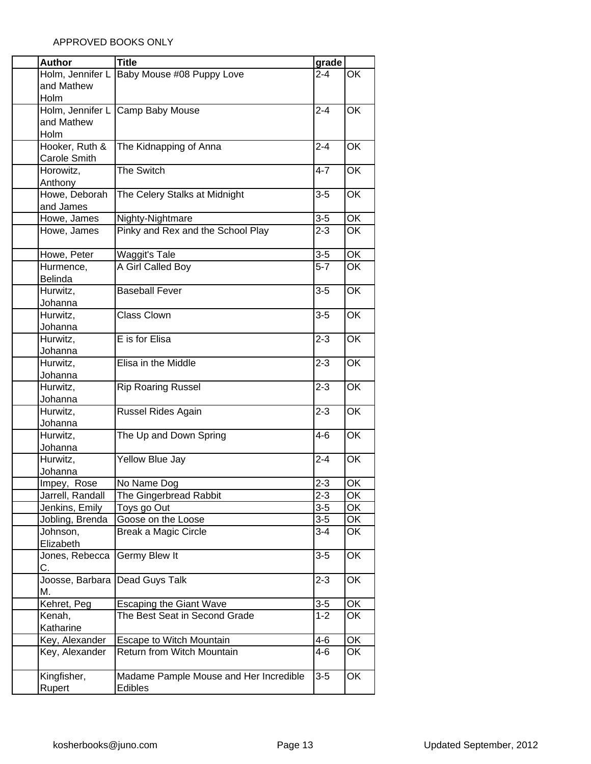| <b>Author</b>         | <b>Title</b>                           | grade   |                          |
|-----------------------|----------------------------------------|---------|--------------------------|
| Holm, Jennifer L      | Baby Mouse #08 Puppy Love              | $2 - 4$ | $\overline{\mathsf{OK}}$ |
| and Mathew            |                                        |         |                          |
| Holm                  |                                        |         |                          |
| Holm, Jennifer L      | Camp Baby Mouse                        | $2 - 4$ | OK                       |
| and Mathew            |                                        |         |                          |
| Holm                  |                                        |         |                          |
| Hooker, Ruth &        | The Kidnapping of Anna                 | $2 - 4$ | OK                       |
| Carole Smith          |                                        |         |                          |
| Horowitz,             | The Switch                             | $4 - 7$ | OK                       |
| Anthony               |                                        |         |                          |
| Howe, Deborah         | The Celery Stalks at Midnight          | $3-5$   | OK                       |
| and James             |                                        |         |                          |
| Howe, James           | Nighty-Nightmare                       | $3-5$   | OK                       |
| Howe, James           | Pinky and Rex and the School Play      | $2 - 3$ | OK                       |
| Howe, Peter           | Waggit's Tale                          | $3-5$   | ОK                       |
| Hurmence,             | A Girl Called Boy                      | $5-7$   | OK                       |
| Belinda               |                                        |         |                          |
| Hurwitz,              | <b>Baseball Fever</b>                  | $3-5$   | OK                       |
| Johanna               |                                        |         |                          |
| Hurwitz,              | Class Clown                            | $3-5$   | OK                       |
| Johanna               |                                        |         |                          |
| Hurwitz,              | E is for Elisa                         | $2 - 3$ | OK                       |
| Johanna               |                                        |         |                          |
| Hurwitz,              | Elisa in the Middle                    | $2 - 3$ | OK                       |
| Johanna               |                                        |         |                          |
| Hurwitz,              | <b>Rip Roaring Russel</b>              | $2 - 3$ | ŌK                       |
| Johanna<br>Hurwitz,   | Russel Rides Again                     | $2 - 3$ | OK                       |
| Johanna               |                                        |         |                          |
| Hurwitz,              | The Up and Down Spring                 | $4 - 6$ | OK                       |
| Johanna               |                                        |         |                          |
| Hurwitz,              | Yellow Blue Jay                        | $2 - 4$ | $\overline{\mathsf{OK}}$ |
| Johanna               |                                        |         |                          |
| Impey, Rose           | No Name Dog                            | $2 - 3$ | OK                       |
| Jarrell, Randall      | The Gingerbread Rabbit                 | $2 - 3$ | OK                       |
| Jenkins, Emily        | Toys go Out                            | $3-5$   | OK                       |
| Jobling, Brenda       | Goose on the Loose                     | $3-5$   | OK                       |
| Johnson,              | <b>Break a Magic Circle</b>            | $3 - 4$ | OK                       |
| Elizabeth             |                                        |         |                          |
| Jones, Rebecca        | Germy Blew It                          | $3-5$   | OK                       |
| С.<br>Joosse, Barbara | Dead Guys Talk                         | $2 - 3$ | ОK                       |
| М.                    |                                        |         |                          |
| Kehret, Peg           | <b>Escaping the Giant Wave</b>         | $3-5$   | ОК                       |
| Kenah,                | The Best Seat in Second Grade          | $1 - 2$ | ОK                       |
| Katharine             |                                        |         |                          |
| Key, Alexander        | Escape to Witch Mountain               | $4 - 6$ | OK                       |
| Key, Alexander        | Return from Witch Mountain             | $4 - 6$ | OK                       |
| Kingfisher,           | Madame Pample Mouse and Her Incredible | $3-5$   | OK                       |
| Rupert                | Edibles                                |         |                          |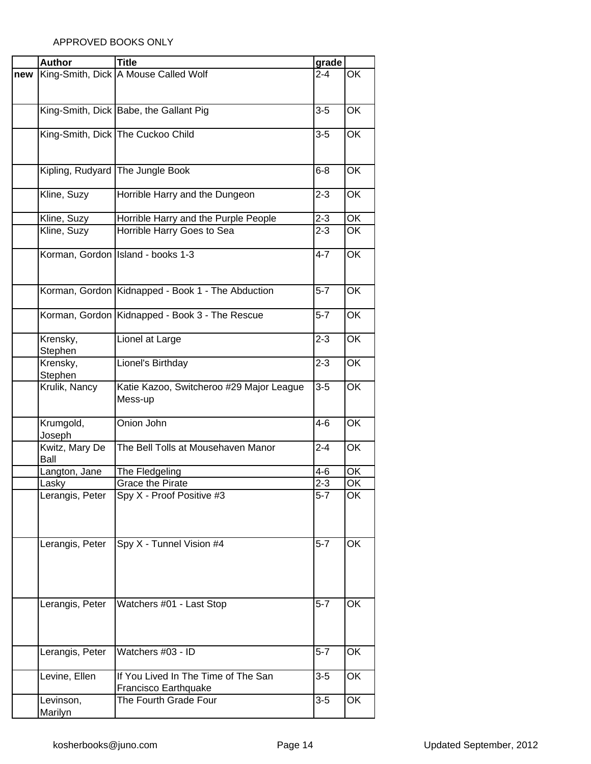|     | <b>Author</b>   | <b>Title</b>                                      | grade            |                          |
|-----|-----------------|---------------------------------------------------|------------------|--------------------------|
| new |                 | King-Smith, Dick A Mouse Called Wolf              | $2 - 4$          | OK                       |
|     |                 |                                                   |                  |                          |
|     |                 |                                                   |                  |                          |
|     |                 | King-Smith, Dick Babe, the Gallant Pig            | $3-5$            | OK                       |
|     |                 |                                                   |                  |                          |
|     |                 | King-Smith, Dick The Cuckoo Child                 | $3-5$            | OK                       |
|     |                 |                                                   |                  |                          |
|     |                 |                                                   |                  |                          |
|     |                 |                                                   |                  |                          |
|     |                 | Kipling, Rudyard The Jungle Book                  | $6 - 8$          | OK                       |
|     |                 |                                                   |                  |                          |
|     | Kline, Suzy     | Horrible Harry and the Dungeon                    | $2 - 3$          | <b>OK</b>                |
|     |                 |                                                   |                  |                          |
|     | Kline, Suzy     | Horrible Harry and the Purple People              | $2 - 3$          | OK                       |
|     | Kline, Suzy     | Horrible Harry Goes to Sea                        | $2 - 3$          | <b>OK</b>                |
|     |                 |                                                   |                  |                          |
|     |                 | Korman, Gordon Island - books 1-3                 | $4 - 7$          | OK                       |
|     |                 |                                                   |                  |                          |
|     |                 |                                                   |                  |                          |
|     |                 | Korman, Gordon Kidnapped - Book 1 - The Abduction | $\overline{5-7}$ | $\overline{\mathsf{OK}}$ |
|     |                 |                                                   |                  |                          |
|     |                 | Korman, Gordon Kidnapped - Book 3 - The Rescue    | $5 - 7$          | <b>OK</b>                |
|     |                 |                                                   |                  |                          |
|     |                 |                                                   |                  |                          |
|     | Krensky,        | Lionel at Large                                   | $2 - 3$          | <b>OK</b>                |
|     | Stephen         |                                                   |                  |                          |
|     | Krensky,        | Lionel's Birthday                                 | $2 - 3$          | OK                       |
|     | Stephen         |                                                   |                  |                          |
|     | Krulik, Nancy   | Katie Kazoo, Switcheroo #29 Major League          | $3-5$            | OK                       |
|     |                 | Mess-up                                           |                  |                          |
|     |                 |                                                   |                  |                          |
|     | Krumgold,       | Onion John                                        | $4-6$            | OK                       |
|     | Joseph          |                                                   |                  |                          |
|     | Kwitz, Mary De  | The Bell Tolls at Mousehaven Manor                | $2 - 4$          | OK                       |
|     | Ball            |                                                   |                  |                          |
|     | Langton, Jane   | The Fledgeling                                    | $4 - 6$          | OK                       |
|     | Laskv           | Grace the Pirate                                  | $2 - 3$          | OK                       |
|     | Lerangis, Peter | Spy X - Proof Positive #3                         | $5-7$            | OK                       |
|     |                 |                                                   |                  |                          |
|     |                 |                                                   |                  |                          |
|     |                 |                                                   |                  |                          |
|     |                 |                                                   |                  |                          |
|     | Lerangis, Peter | Spy X - Tunnel Vision #4                          | $5 - 7$          | $\overline{\mathsf{OK}}$ |
|     |                 |                                                   |                  |                          |
|     |                 |                                                   |                  |                          |
|     |                 |                                                   |                  |                          |
|     |                 |                                                   |                  |                          |
|     | Lerangis, Peter | Watchers #01 - Last Stop                          | $5 - 7$          | OK                       |
|     |                 |                                                   |                  |                          |
|     |                 |                                                   |                  |                          |
|     |                 |                                                   |                  |                          |
|     | Lerangis, Peter | Watchers #03 - ID                                 | $5 - 7$          | OK                       |
|     |                 |                                                   |                  |                          |
|     | Levine, Ellen   | If You Lived In The Time of The San               | $3-5$            | OK                       |
|     |                 |                                                   |                  |                          |
|     |                 | Francisco Earthquake                              |                  |                          |
|     | Levinson,       | The Fourth Grade Four                             | $3-5$            | OK                       |
|     | Marilyn         |                                                   |                  |                          |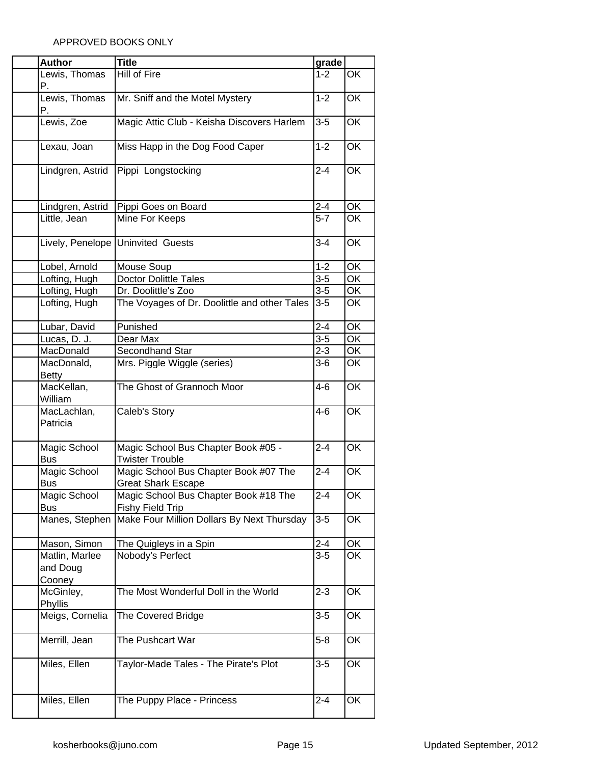| <b>Author</b>    | <b>Title</b>                                 | grade   |                                   |
|------------------|----------------------------------------------|---------|-----------------------------------|
| Lewis, Thomas    | Hill of Fire                                 | $1 - 2$ | OK                                |
| Ρ.               |                                              |         |                                   |
| Lewis, Thomas    | Mr. Sniff and the Motel Mystery              | $1 - 2$ | OK                                |
| Р.               |                                              |         |                                   |
| Lewis, Zoe       | Magic Attic Club - Keisha Discovers Harlem   | $3-5$   | OK                                |
|                  |                                              |         |                                   |
|                  |                                              |         | OK                                |
| Lexau, Joan      | Miss Happ in the Dog Food Caper              | $1 - 2$ |                                   |
|                  |                                              |         |                                   |
| Lindgren, Astrid | Pippi Longstocking                           | $2 - 4$ | OK                                |
|                  |                                              |         |                                   |
|                  |                                              |         |                                   |
| Lindgren, Astrid | Pippi Goes on Board                          | $2 - 4$ | $\overline{OK}$                   |
| Little, Jean     | Mine For Keeps                               | $5 - 7$ | OK                                |
|                  |                                              |         |                                   |
|                  | Lively, Penelope Uninvited Guests            | $3 - 4$ | $\overline{OK}$                   |
|                  |                                              |         |                                   |
| Lobel, Arnold    | Mouse Soup                                   | $1 - 2$ | OK                                |
| Lofting, Hugh    | <b>Doctor Dolittle Tales</b>                 | $3-5$   | $\overline{OK}$                   |
| Lofting, Hugh    | Dr. Doolittle's Zoo                          | $3-5$   | OK                                |
| Lofting, Hugh    | The Voyages of Dr. Doolittle and other Tales | $3-5$   | OK                                |
|                  |                                              |         |                                   |
| Lubar, David     | Punished                                     | $2 - 4$ | OK                                |
| Lucas, D. J.     | Dear Max                                     | $3-5$   | OK                                |
| MacDonald        | Secondhand Star                              | $2 - 3$ | $\overline{OK}$                   |
| MacDonald,       | Mrs. Piggle Wiggle (series)                  | $3-6$   | OK                                |
| <b>Betty</b>     |                                              |         |                                   |
| MacKellan,       | The Ghost of Grannoch Moor                   | $4 - 6$ | OK                                |
| William          |                                              |         |                                   |
| MacLachlan,      | Caleb's Story                                | $4 - 6$ | OK                                |
| Patricia         |                                              |         |                                   |
|                  |                                              |         |                                   |
| Magic School     | Magic School Bus Chapter Book #05 -          | $2 - 4$ | OK                                |
| <b>Bus</b>       | <b>Twister Trouble</b>                       |         |                                   |
| Magic School     | Magic School Bus Chapter Book #07 The        | $2 - 4$ | OK                                |
| Bus              | <b>Great Shark Escape</b>                    |         |                                   |
| Magic School     | Magic School Bus Chapter Book #18 The        | $2 - 4$ | OK                                |
| <b>Bus</b>       | <b>Fishy Field Trip</b>                      |         |                                   |
|                  |                                              |         |                                   |
| Manes, Stephen   | Make Four Million Dollars By Next Thursday   | $3-5$   | OK                                |
| Mason, Simon     |                                              |         | $\overline{\overline{\text{OK}}}$ |
|                  | The Quigleys in a Spin                       | $2 - 4$ |                                   |
| Matlin, Marlee   | Nobody's Perfect                             | $3-5$   | OK                                |
| and Doug         |                                              |         |                                   |
| Cooney           |                                              |         |                                   |
| McGinley,        | The Most Wonderful Doll in the World         | $2 - 3$ | OK                                |
| Phyllis          |                                              |         |                                   |
| Meigs, Cornelia  | The Covered Bridge                           | $3 - 5$ | OK                                |
|                  |                                              |         |                                   |
| Merrill, Jean    | The Pushcart War                             | $5 - 8$ | OK                                |
|                  |                                              |         |                                   |
| Miles, Ellen     | Taylor-Made Tales - The Pirate's Plot        | $3-5$   | OK                                |
|                  |                                              |         |                                   |
|                  |                                              |         |                                   |
| Miles, Ellen     | The Puppy Place - Princess                   | $2 - 4$ | OK                                |
|                  |                                              |         |                                   |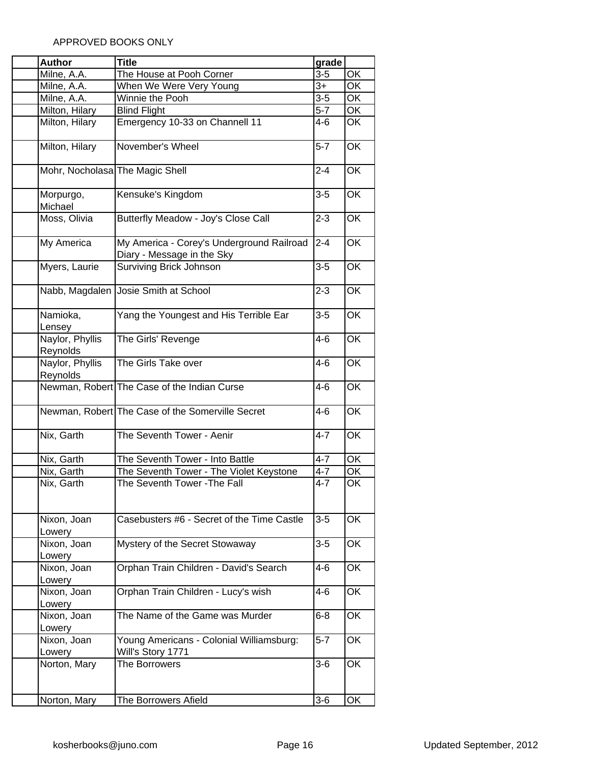| <b>Author</b>                   | <b>Title</b>                                                            | grade   |                 |
|---------------------------------|-------------------------------------------------------------------------|---------|-----------------|
| Milne, A.A.                     | The House at Pooh Corner                                                | $3-5$   | OK              |
| Milne, A.A.                     | When We Were Very Young                                                 | $3+$    | OK              |
| Milne, A.A.                     | Winnie the Pooh                                                         | $3-5$   | OK              |
| Milton, Hilary                  | <b>Blind Flight</b>                                                     | $5-7$   | OK              |
| Milton, Hilary                  | Emergency 10-33 on Channell 11                                          | $4 - 6$ | OK              |
| Milton, Hilary                  | November's Wheel                                                        | $5-7$   | OK              |
| Mohr, Nocholasa The Magic Shell |                                                                         | $2 - 4$ | OK              |
|                                 |                                                                         |         |                 |
| Morpurgo,<br>Michael            | Kensuke's Kingdom                                                       | $3-5$   | OK              |
| Moss, Olivia                    | Butterfly Meadow - Joy's Close Call                                     | $2 - 3$ | OK              |
| My America                      | My America - Corey's Underground Railroad<br>Diary - Message in the Sky | $2 - 4$ | OK              |
| Myers, Laurie                   | <b>Surviving Brick Johnson</b>                                          | $3-5$   | OK              |
| Nabb, Magdalen                  | Josie Smith at School                                                   | $2 - 3$ | OK              |
| Namioka,<br>Lensey              | Yang the Youngest and His Terrible Ear                                  | $3-5$   | OK              |
| Naylor, Phyllis<br>Reynolds     | The Girls' Revenge                                                      | $4 - 6$ | OK              |
| Naylor, Phyllis<br>Reynolds     | The Girls Take over                                                     | $4 - 6$ | OK              |
|                                 | Newman, Robert The Case of the Indian Curse                             | $4 - 6$ | OK              |
|                                 | Newman, Robert The Case of the Somerville Secret                        | $4-6$   | OK              |
| Nix, Garth                      | The Seventh Tower - Aenir                                               | $4 - 7$ | OK              |
| Nix, Garth                      | The Seventh Tower - Into Battle                                         | $4 - 7$ | $\overline{OK}$ |
| Nix, Garth                      | The Seventh Tower - The Violet Keystone                                 | $4 - 7$ | OK              |
| Nix, Garth                      | The Seventh Tower - The Fall                                            | $4 - 7$ | OK              |
| Nixon, Joan<br>Lowery           | Casebusters #6 - Secret of the Time Castle                              | $3 - 5$ | OK              |
| Nixon, Joan<br>Lowery           | Mystery of the Secret Stowaway                                          | $3-5$   | OK              |
| Nixon, Joan<br>Lowery           | Orphan Train Children - David's Search                                  | 4-6     | OK              |
| Nixon, Joan                     | Orphan Train Children - Lucy's wish                                     | 4-6     | OK              |
| Lowery<br>Nixon, Joan           | The Name of the Game was Murder                                         | $6 - 8$ | OK              |
| Lowery<br>Nixon, Joan           | Young Americans - Colonial Williamsburg:                                | $5-7$   | OK              |
| Lowery<br>Norton, Mary          | Will's Story 1771<br>The Borrowers                                      | $3-6$   | OK              |
|                                 |                                                                         |         |                 |
| Norton, Mary                    | The Borrowers Afield                                                    | $3-6$   | OK              |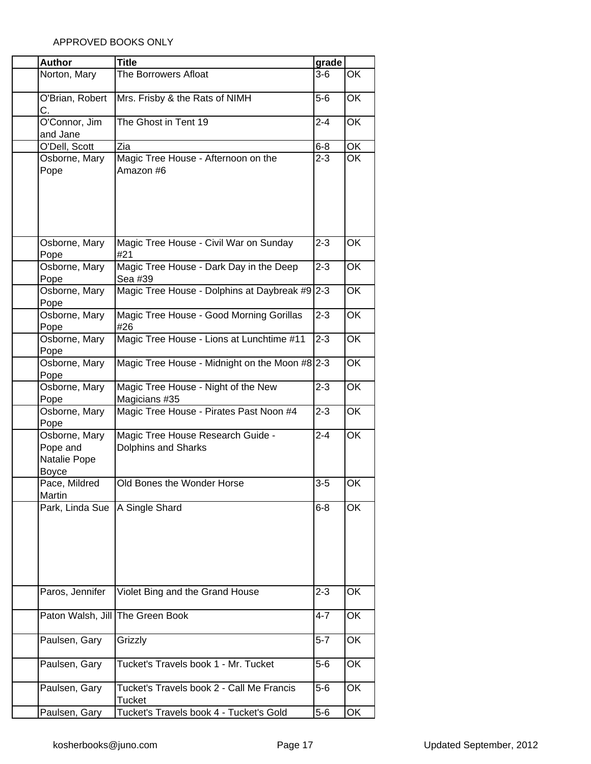| <b>Author</b>                                             | <b>Title</b>                                                    | grade   |    |
|-----------------------------------------------------------|-----------------------------------------------------------------|---------|----|
| Norton, Mary                                              | The Borrowers Afloat                                            | 3-6     | OK |
| O'Brian, Robert<br>C.                                     | Mrs. Frisby & the Rats of NIMH                                  | $5-6$   | OK |
| O'Connor, Jim<br>and Jane                                 | The Ghost in Tent 19                                            | $2 - 4$ | OK |
| O'Dell, Scott                                             | Zia                                                             | $6 - 8$ | OK |
| Osborne, Mary<br>Pope                                     | Magic Tree House - Afternoon on the<br>Amazon #6                | $2 - 3$ | OK |
| Osborne, Mary<br>Pope                                     | Magic Tree House - Civil War on Sunday<br>#21                   | $2 - 3$ | OK |
| Osborne, Mary<br>Pope                                     | Magic Tree House - Dark Day in the Deep<br>Sea #39              | $2 - 3$ | OK |
| Osborne, Mary<br>Pope                                     | Magic Tree House - Dolphins at Daybreak #9                      | $2 - 3$ | ŌK |
| Osborne, Mary<br>Pope                                     | Magic Tree House - Good Morning Gorillas<br>#26                 | $2 - 3$ | OK |
| Osborne, Mary<br>Pope                                     | Magic Tree House - Lions at Lunchtime #11                       | $2 - 3$ | OK |
| Osborne, Mary<br>Pope                                     | Magic Tree House - Midnight on the Moon #8 2-3                  |         | OK |
| Osborne, Mary<br>Pope                                     | Magic Tree House - Night of the New<br>Magicians #35            | $2 - 3$ | OK |
| Osborne, Mary<br>Pope                                     | Magic Tree House - Pirates Past Noon #4                         | $2 - 3$ | OK |
| Osborne, Mary<br>Pope and<br>Natalie Pope<br><b>Boyce</b> | Magic Tree House Research Guide -<br><b>Dolphins and Sharks</b> | $2 - 4$ | OK |
| Pace, Mildred<br>Martin                                   | Old Bones the Wonder Horse                                      | $3-5$   | OK |
| Park, Linda Sue                                           | A Single Shard                                                  | $6 - 8$ | OK |
| Paros, Jennifer                                           | Violet Bing and the Grand House                                 | 2-3     | OK |
| Paton Walsh, Jill                                         | The Green Book                                                  | 4-7     | OK |
| Paulsen, Gary                                             | Grizzly                                                         | $5 - 7$ | OK |
| Paulsen, Gary                                             | Tucket's Travels book 1 - Mr. Tucket                            | $5-6$   | OK |
| Paulsen, Gary                                             | Tucket's Travels book 2 - Call Me Francis<br><b>Tucket</b>      | $5-6$   | OK |
| Paulsen, Gary                                             | Tucket's Travels book 4 - Tucket's Gold                         | $5-6$   | OK |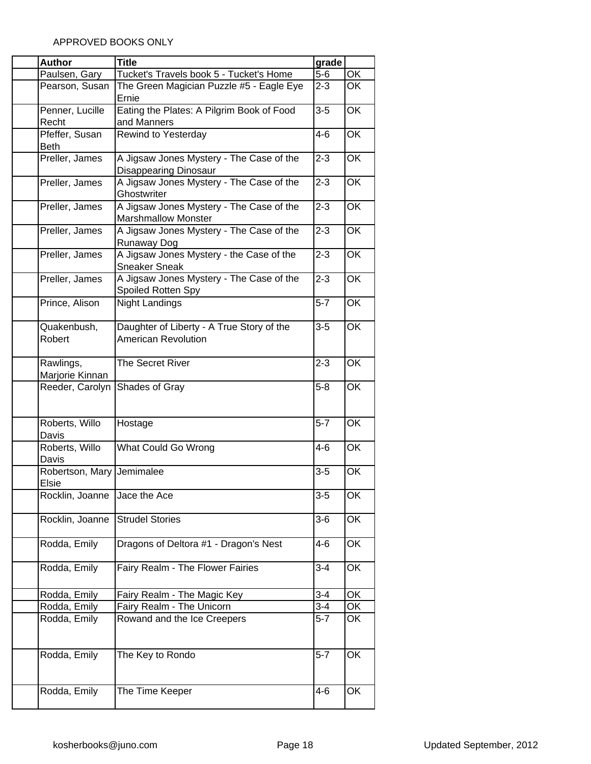| <b>Author</b>                      | <b>Title</b>                                                                           | grade   |                          |
|------------------------------------|----------------------------------------------------------------------------------------|---------|--------------------------|
| Paulsen, Gary                      | Tucket's Travels book 5 - Tucket's Home                                                | $5-6$   | OK                       |
| Pearson, Susan                     | The Green Magician Puzzle #5 - Eagle Eye<br>Ernie                                      | $2 - 3$ | OK                       |
| Penner, Lucille<br>Recht           | Eating the Plates: A Pilgrim Book of Food<br>and Manners                               | $3-5$   | OK                       |
| Pfeffer, Susan<br><b>Beth</b>      | Rewind to Yesterday                                                                    | $4 - 6$ | OK                       |
| Preller, James                     | A Jigsaw Jones Mystery - The Case of the                                               | $2 - 3$ | OK                       |
| Preller, James                     | <b>Disappearing Dinosaur</b><br>A Jigsaw Jones Mystery - The Case of the               | $2 - 3$ | OK                       |
| Preller, James                     | Ghostwriter<br>A Jigsaw Jones Mystery - The Case of the                                | $2 - 3$ | OK                       |
| Preller, James                     | <b>Marshmallow Monster</b><br>A Jigsaw Jones Mystery - The Case of the                 | $2 - 3$ | OK                       |
| Preller, James                     | Runaway Dog<br>A Jigsaw Jones Mystery - the Case of the                                | $2 - 3$ | OK                       |
| Preller, James                     | <b>Sneaker Sneak</b><br>A Jigsaw Jones Mystery - The Case of the<br>Spoiled Rotten Spy | $2 - 3$ | OK                       |
| Prince, Alison                     | <b>Night Landings</b>                                                                  | $5 - 7$ | OK                       |
| Quakenbush,<br>Robert              | Daughter of Liberty - A True Story of the<br><b>American Revolution</b>                | $3 - 5$ | OK                       |
| Rawlings,<br>Marjorie Kinnan       | The Secret River                                                                       | $2 - 3$ | OK                       |
| Reeder, Carolyn                    | Shades of Gray                                                                         | $5 - 8$ | OK                       |
| Roberts, Willo<br>Davis            | Hostage                                                                                | $5-7$   | OK                       |
| Roberts, Willo<br>Davis            | What Could Go Wrong                                                                    | 4-6     | OK                       |
| Robertson, Mary Jemimalee<br>Elsie |                                                                                        | $3 - 5$ | OK                       |
| Rocklin, Joanne                    | Jace the Ace                                                                           | $3 - 5$ | OK                       |
| Rocklin, Joanne                    | <b>Strudel Stories</b>                                                                 | $3-6$   | OK                       |
| Rodda, Emily                       | Dragons of Deltora #1 - Dragon's Nest                                                  | 4-6     | OK                       |
| Rodda, Emily                       | Fairy Realm - The Flower Fairies                                                       | $3 - 4$ | OK                       |
| Rodda, Emily                       | Fairy Realm - The Magic Key                                                            | $3 - 4$ | OK                       |
| Rodda, Emily                       | Fairy Realm - The Unicorn                                                              | $3 - 4$ | $\overline{\mathsf{OK}}$ |
| Rodda, Emily                       | Rowand and the Ice Creepers                                                            | $5 - 7$ | OK                       |
| Rodda, Emily                       | The Key to Rondo                                                                       | $5 - 7$ | OK                       |
| Rodda, Emily                       | The Time Keeper                                                                        | $4 - 6$ | OK                       |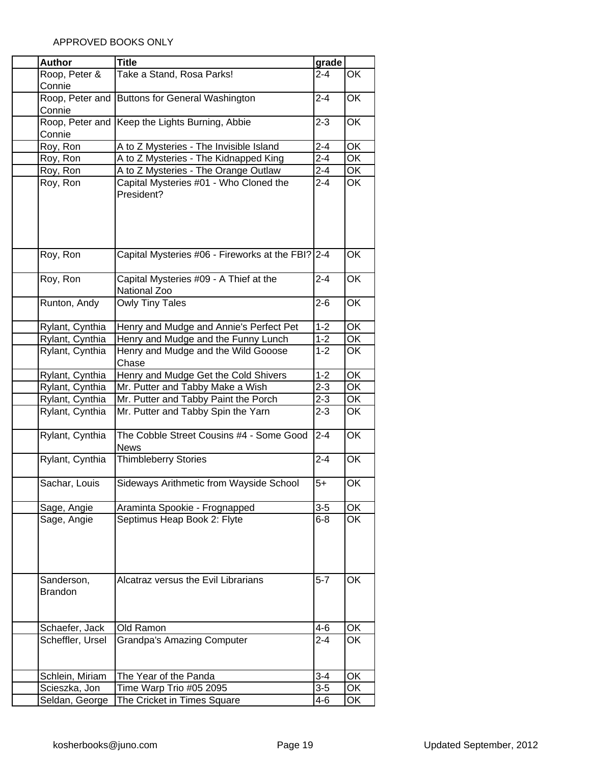| <b>Author</b>    | <b>Title</b>                                      | grade   |                          |
|------------------|---------------------------------------------------|---------|--------------------------|
| Roop, Peter &    | Take a Stand, Rosa Parks!                         | $2 - 4$ | OK                       |
| Connie           |                                                   |         |                          |
| Roop, Peter and  | <b>Buttons for General Washington</b>             | $2 - 4$ | OK                       |
| Connie           |                                                   |         |                          |
| Roop, Peter and  | Keep the Lights Burning, Abbie                    | $2 - 3$ | OK                       |
| Connie           |                                                   |         |                          |
| Roy, Ron         | A to Z Mysteries - The Invisible Island           | $2 - 4$ | OK                       |
| Roy, Ron         | A to Z Mysteries - The Kidnapped King             | $2 - 4$ | OK                       |
| Roy, Ron         | A to Z Mysteries - The Orange Outlaw              | $2 - 4$ | ОK                       |
| Roy, Ron         | Capital Mysteries #01 - Who Cloned the            | $2 - 4$ | OK                       |
|                  | President?                                        |         |                          |
|                  |                                                   |         |                          |
|                  |                                                   |         |                          |
|                  |                                                   |         |                          |
|                  |                                                   |         |                          |
| Roy, Ron         | Capital Mysteries #06 - Fireworks at the FBI? 2-4 |         | OK                       |
|                  |                                                   |         |                          |
| Roy, Ron         | Capital Mysteries #09 - A Thief at the            | $2 - 4$ | OK                       |
|                  | National Zoo                                      |         |                          |
| Runton, Andy     | <b>Owly Tiny Tales</b>                            | $2 - 6$ | OK                       |
|                  |                                                   |         |                          |
| Rylant, Cynthia  | Henry and Mudge and Annie's Perfect Pet           | $1 - 2$ | OK                       |
| Rylant, Cynthia  | Henry and Mudge and the Funny Lunch               | $1 - 2$ | ОK                       |
| Rylant, Cynthia  | Henry and Mudge and the Wild Gooose               | $1 - 2$ | OK                       |
|                  | Chase                                             |         |                          |
| Rylant, Cynthia  | Henry and Mudge Get the Cold Shivers              | $1 - 2$ | $\overline{\mathsf{OK}}$ |
| Rylant, Cynthia  | Mr. Putter and Tabby Make a Wish                  | $2 - 3$ | OK                       |
| Rylant, Cynthia  | Mr. Putter and Tabby Paint the Porch              | $2 - 3$ | ОK                       |
| Rylant, Cynthia  | Mr. Putter and Tabby Spin the Yarn                | $2 - 3$ | OK                       |
|                  |                                                   |         |                          |
| Rylant, Cynthia  | The Cobble Street Cousins #4 - Some Good          | $2 - 4$ | OK                       |
|                  | <b>News</b>                                       |         |                          |
| Rylant, Cynthia  | <b>Thimbleberry Stories</b>                       | $2 - 4$ | OK                       |
|                  |                                                   |         |                          |
| Sachar, Louis    | Sideways Arithmetic from Wayside School           | $5+$    | OK                       |
|                  |                                                   |         |                          |
| Sage, Angie      | Araminta Spookie - Frognapped                     | $3-5$   | OK                       |
| Sage, Angie      | Septimus Heap Book 2: Flyte                       | $6 - 8$ | OK                       |
|                  |                                                   |         |                          |
|                  |                                                   |         |                          |
|                  |                                                   |         |                          |
|                  |                                                   |         |                          |
| Sanderson,       | Alcatraz versus the Evil Librarians               | $5 - 7$ | OK                       |
| <b>Brandon</b>   |                                                   |         |                          |
|                  |                                                   |         |                          |
|                  |                                                   |         |                          |
| Schaefer, Jack   | Old Ramon                                         | $4 - 6$ | OK                       |
| Scheffler, Ursel | <b>Grandpa's Amazing Computer</b>                 | $2 - 4$ | OK                       |
|                  |                                                   |         |                          |
|                  |                                                   |         |                          |
| Schlein, Miriam  | The Year of the Panda                             | $3 - 4$ | OK                       |
| Scieszka, Jon    | Time Warp Trio #05 2095                           | $3-5$   | ОK                       |
| Seldan, George   | The Cricket in Times Square                       | $4 - 6$ | ОK                       |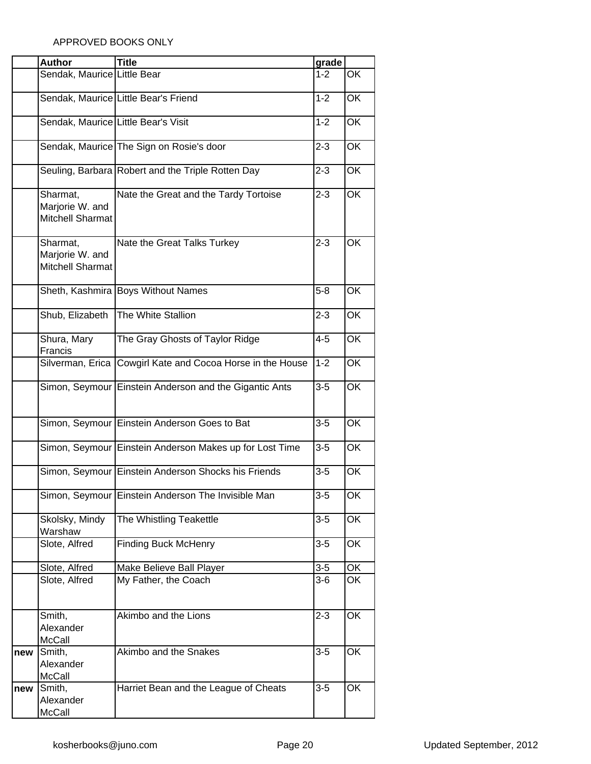|     | <b>Author</b>                                          | <b>Title</b>                                               | grade   |    |
|-----|--------------------------------------------------------|------------------------------------------------------------|---------|----|
|     | Sendak, Maurice Little Bear                            |                                                            | $1 - 2$ | OK |
|     |                                                        | Sendak, Maurice Little Bear's Friend                       | $1 - 2$ | OK |
|     | Sendak, Maurice Little Bear's Visit                    |                                                            | $1 - 2$ | OK |
|     |                                                        | Sendak, Maurice The Sign on Rosie's door                   | $2 - 3$ | OK |
|     |                                                        | Seuling, Barbara Robert and the Triple Rotten Day          | $2 - 3$ | OK |
|     | Sharmat,<br>Marjorie W. and<br><b>Mitchell Sharmat</b> | Nate the Great and the Tardy Tortoise                      | $2 - 3$ | OK |
|     | Sharmat,<br>Marjorie W. and<br><b>Mitchell Sharmat</b> | Nate the Great Talks Turkey                                | $2 - 3$ | OK |
|     |                                                        | Sheth, Kashmira Boys Without Names                         | $5 - 8$ | OK |
|     | Shub, Elizabeth                                        | The White Stallion                                         | $2 - 3$ | OK |
|     | Shura, Mary<br>Francis                                 | The Gray Ghosts of Taylor Ridge                            | $4 - 5$ | OK |
|     |                                                        | Silverman, Erica Cowgirl Kate and Cocoa Horse in the House | $1 - 2$ | OK |
|     |                                                        | Simon, Seymour Einstein Anderson and the Gigantic Ants     | $3 - 5$ | OK |
|     |                                                        | Simon, Seymour Einstein Anderson Goes to Bat               | $3 - 5$ | OK |
|     |                                                        | Simon, Seymour Einstein Anderson Makes up for Lost Time    | $3-5$   | OK |
|     |                                                        | Simon, Seymour Einstein Anderson Shocks his Friends        | $3-5$   | OK |
|     |                                                        | Simon, Seymour Einstein Anderson The Invisible Man         | $3-5$   | OK |
|     | Skolsky, Mindy<br>Warshaw                              | The Whistling Teakettle                                    | $3-5$   | OK |
|     | Slote, Alfred                                          | <b>Finding Buck McHenry</b>                                | $3-5$   | OK |
|     | Slote, Alfred                                          | Make Believe Ball Player                                   | $3-5$   | OK |
|     | Slote, Alfred                                          | My Father, the Coach                                       | $3-6$   | OK |
|     | Smith,<br>Alexander<br>McCall                          | Akimbo and the Lions                                       | $2 - 3$ | OK |
| new | Smith,<br>Alexander<br><b>McCall</b>                   | Akimbo and the Snakes                                      | $3 - 5$ | OK |
| new | Smith,<br>Alexander<br>McCall                          | Harriet Bean and the League of Cheats                      | $3-5$   | OK |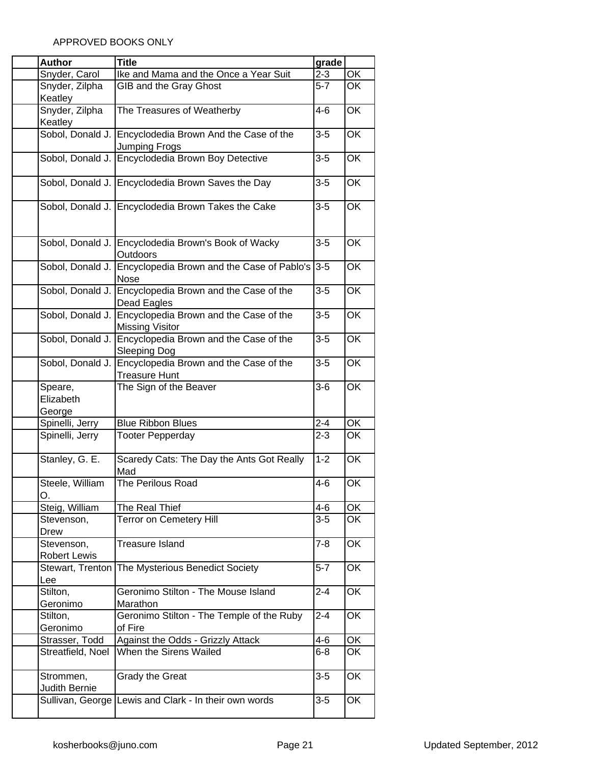| <b>Author</b>                     | <b>Title</b>                                                                    | grade   |                          |
|-----------------------------------|---------------------------------------------------------------------------------|---------|--------------------------|
| Snyder, Carol                     | Ike and Mama and the Once a Year Suit                                           | $2 - 3$ | OK                       |
| Snyder, Zilpha                    | GIB and the Gray Ghost                                                          | $5 - 7$ | <b>OK</b>                |
| Keatley                           |                                                                                 |         |                          |
| Snyder, Zilpha<br>Keatley         | The Treasures of Weatherby                                                      | $4 - 6$ | OK                       |
| Sobol, Donald J.                  | Encyclodedia Brown And the Case of the<br>Jumping Frogs                         | $3-5$   | OK                       |
| Sobol, Donald J.                  | Encyclodedia Brown Boy Detective                                                | $3-5$   | OK                       |
|                                   | Sobol, Donald J. Encyclodedia Brown Saves the Day                               | $3-5$   | OK                       |
|                                   | Sobol, Donald J. Encyclodedia Brown Takes the Cake                              | $3-5$   | OK                       |
|                                   | Sobol, Donald J. Encyclodedia Brown's Book of Wacky<br>Outdoors                 | $3-5$   | $\overline{\mathsf{OK}}$ |
|                                   | Sobol, Donald J. Encyclopedia Brown and the Case of Pablo's<br><b>Nose</b>      | $3-5$   | OK                       |
|                                   | Sobol, Donald J. Encyclopedia Brown and the Case of the<br>Dead Eagles          | $3-5$   | OK                       |
| Sobol, Donald J.                  | Encyclopedia Brown and the Case of the<br><b>Missing Visitor</b>                | $3-5$   | OK                       |
|                                   | Sobol, Donald J. Encyclopedia Brown and the Case of the<br>Sleeping Dog         | $3-5$   | <b>OK</b>                |
|                                   | Sobol, Donald J. Encyclopedia Brown and the Case of the<br><b>Treasure Hunt</b> | $3-5$   | OK                       |
| Speare,<br>Elizabeth<br>George    | The Sign of the Beaver                                                          | $3-6$   | OK                       |
| Spinelli, Jerry                   | <b>Blue Ribbon Blues</b>                                                        | $2 - 4$ | OK                       |
| Spinelli, Jerry                   | <b>Tooter Pepperday</b>                                                         | $2 - 3$ | OK                       |
| Stanley, G. E.                    | Scaredy Cats: The Day the Ants Got Really<br>Mad                                | $1 - 2$ | OK                       |
| Steele, William<br>O.             | The Perilous Road                                                               | $4 - 6$ | OK                       |
| Steig, William                    | The Real Thief                                                                  | $4 - 6$ | OK                       |
| Stevenson,<br>Drew                | <b>Terror on Cemetery Hill</b>                                                  | $3-5$   | OK                       |
| Stevenson,<br><b>Robert Lewis</b> | <b>Treasure Island</b>                                                          | $7 - 8$ | OK                       |
| Stewart, Trenton<br>Lee           | The Mysterious Benedict Society                                                 | $5 - 7$ | OK                       |
| Stilton,<br>Geronimo              | Geronimo Stilton - The Mouse Island<br>Marathon                                 | $2 - 4$ | OK                       |
| Stilton,<br>Geronimo              | Geronimo Stilton - The Temple of the Ruby<br>of Fire                            | $2 - 4$ | OK                       |
| Strasser, Todd                    | Against the Odds - Grizzly Attack                                               | 4-6     | OK                       |
| Streatfield, Noel                 | When the Sirens Wailed                                                          | $6 - 8$ | OK                       |
| Strommen,<br>Judith Bernie        | <b>Grady the Great</b>                                                          | $3-5$   | OK                       |
|                                   | Sullivan, George Lewis and Clark - In their own words                           | $3-5$   | OK                       |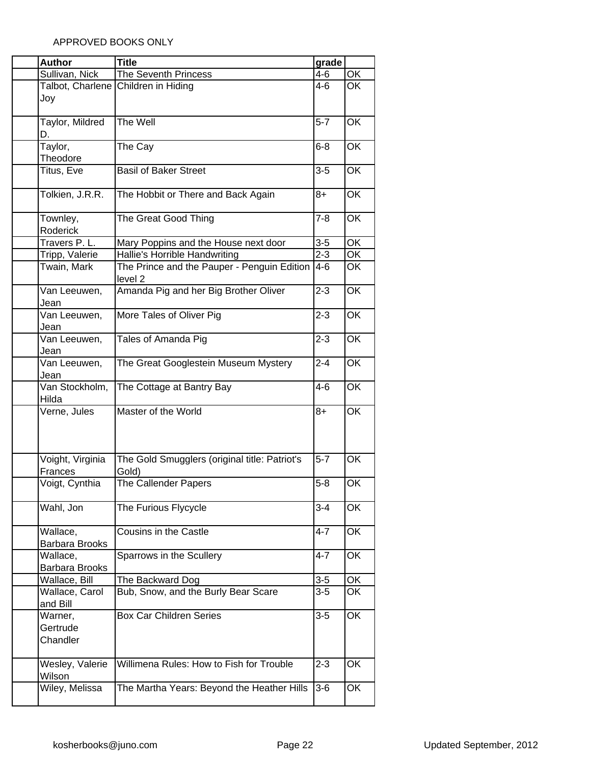| <b>Author</b>                 | <b>Title</b>                                                          | grade            |                                                      |
|-------------------------------|-----------------------------------------------------------------------|------------------|------------------------------------------------------|
| Sullivan, Nick                | The Seventh Princess                                                  | $4 - 6$          | $\overline{OK}$                                      |
| Talbot, Charlene              | Children in Hiding                                                    | $4 - 6$          | $\overline{\mathsf{OK}}$                             |
| Joy                           |                                                                       |                  |                                                      |
|                               |                                                                       |                  |                                                      |
| Taylor, Mildred               | The Well                                                              | $5 - 7$          | OK                                                   |
| D.<br>Taylor,                 |                                                                       | $6 - 8$          | OK                                                   |
| Theodore                      | The Cay                                                               |                  |                                                      |
| Titus, Eve                    | <b>Basil of Baker Street</b>                                          | $3-5$            | OK                                                   |
|                               |                                                                       |                  |                                                      |
| Tolkien, J.R.R.               | The Hobbit or There and Back Again                                    | 8+               | OK                                                   |
|                               |                                                                       |                  |                                                      |
| Townley,                      | The Great Good Thing                                                  | $7 - 8$          | OK                                                   |
| Roderick                      |                                                                       |                  |                                                      |
| Travers P. L.                 | Mary Poppins and the House next door<br>Hallie's Horrible Handwriting | $3-5$<br>$2 - 3$ | $\overline{\mathsf{OK}}$<br>$\overline{\mathsf{OK}}$ |
| Tripp, Valerie<br>Twain, Mark | The Prince and the Pauper - Penguin Edition                           | $4-6$            | OK                                                   |
|                               | level <sub>2</sub>                                                    |                  |                                                      |
| Van Leeuwen,                  | Amanda Pig and her Big Brother Oliver                                 | $2 - 3$          | $\overline{\mathsf{OK}}$                             |
| Jean                          |                                                                       |                  |                                                      |
| Van Leeuwen,                  | More Tales of Oliver Pig                                              | $2 - 3$          | OK                                                   |
| Jean                          |                                                                       |                  |                                                      |
| Van Leeuwen,                  | Tales of Amanda Pig                                                   | $2 - 3$          | <b>OK</b>                                            |
| Jean                          |                                                                       |                  |                                                      |
| Van Leeuwen,                  | The Great Googlestein Museum Mystery                                  | $2 - 4$          | OK                                                   |
| Jean<br>Van Stockholm,        | The Cottage at Bantry Bay                                             | $4-6$            | OK                                                   |
| Hilda                         |                                                                       |                  |                                                      |
| Verne, Jules                  | Master of the World                                                   | $8+$             | OK                                                   |
|                               |                                                                       |                  |                                                      |
|                               |                                                                       |                  |                                                      |
|                               |                                                                       |                  |                                                      |
| Voight, Virginia              | The Gold Smugglers (original title: Patriot's                         | $5 - 7$          | $\overline{\mathsf{OK}}$                             |
| Frances                       | Gold)                                                                 |                  |                                                      |
| Voigt, Cynthia                | The Callender Papers                                                  | $5 - 8$          | OK                                                   |
| Wahl, Jon                     | The Furious Flycycle                                                  | $3 - 4$          | OK                                                   |
|                               |                                                                       |                  |                                                      |
| Wallace,                      | Cousins in the Castle                                                 | $4 - 7$          | OK                                                   |
| <b>Barbara Brooks</b>         |                                                                       |                  |                                                      |
| Wallace,                      | Sparrows in the Scullery                                              | $4 - 7$          | OK                                                   |
| Barbara Brooks                |                                                                       |                  |                                                      |
| Wallace, Bill                 | The Backward Dog                                                      | $3 - 5$          | OK                                                   |
| Wallace, Carol                | Bub, Snow, and the Burly Bear Scare                                   | $3-5$            | OK                                                   |
| and Bill<br>Warner,           | <b>Box Car Children Series</b>                                        | $3-5$            | OK                                                   |
| Gertrude                      |                                                                       |                  |                                                      |
| Chandler                      |                                                                       |                  |                                                      |
|                               |                                                                       |                  |                                                      |
| Wesley, Valerie               | Willimena Rules: How to Fish for Trouble                              | $2 - 3$          | OK                                                   |
| Wilson                        |                                                                       |                  |                                                      |
| Wiley, Melissa                | The Martha Years: Beyond the Heather Hills                            | $3-6$            | OK                                                   |
|                               |                                                                       |                  |                                                      |